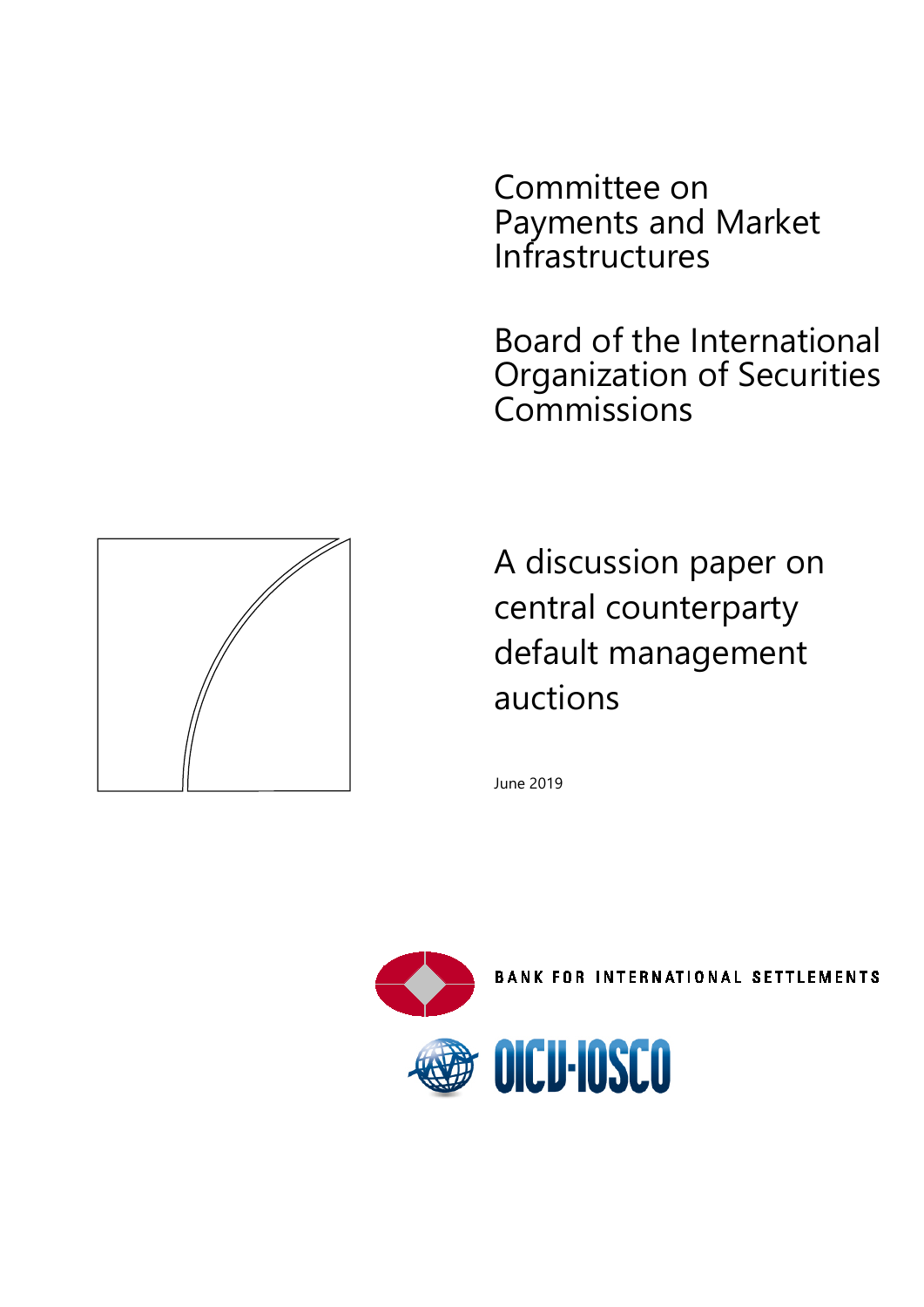Committee on Payments and Market Infrastructures

Board of the International Organization of Securities Commissions

A discussion paper on central counterparty default management auctions

June 2019



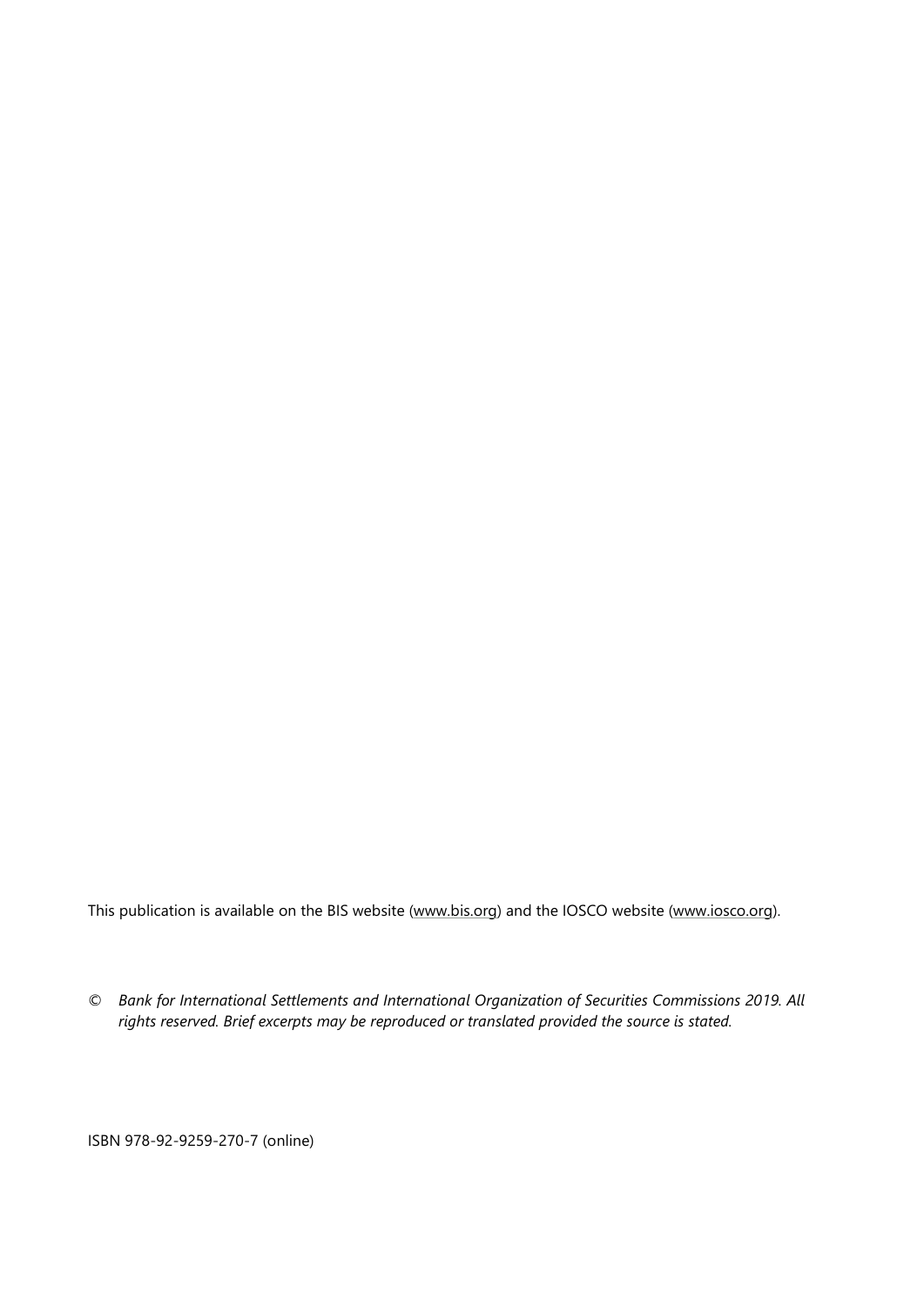This publication is available on the BIS website [\(www.bis.org\)](http://www.bis.org/) and the IOSCO website [\(www.iosco.org\)](http://www.iosco.org/).

*© Bank for International Settlements and International Organization of Securities Commissions 2019. All rights reserved. Brief excerpts may be reproduced or translated provided the source is stated.*

ISBN 978-92-9259-270-7 (online)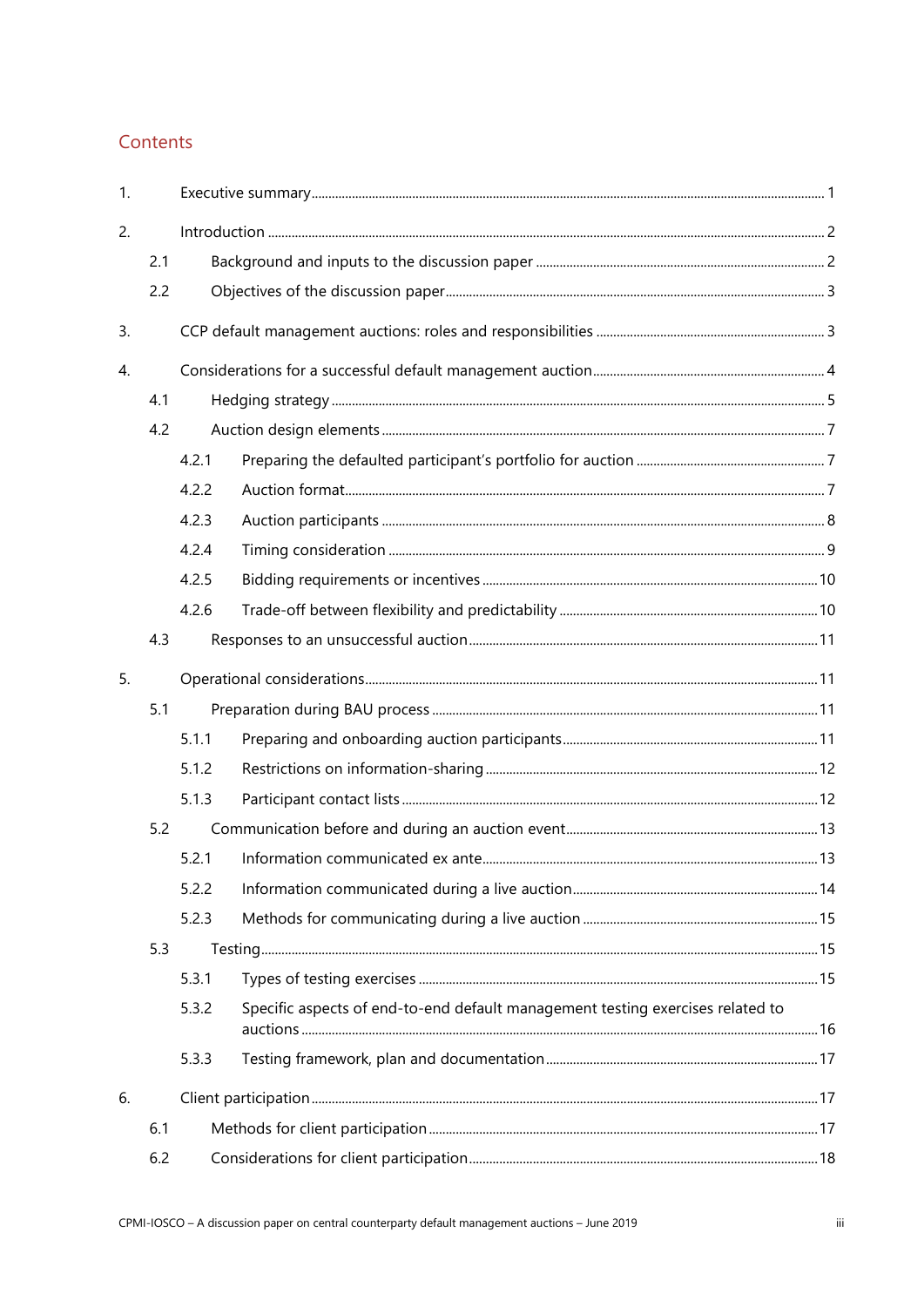# Contents

| 1. |     |       |                                                                                |  |
|----|-----|-------|--------------------------------------------------------------------------------|--|
| 2. |     |       |                                                                                |  |
|    | 2.1 |       |                                                                                |  |
|    | 2.2 |       |                                                                                |  |
| 3. |     |       |                                                                                |  |
| 4. |     |       |                                                                                |  |
|    | 4.1 |       |                                                                                |  |
|    | 4.2 |       |                                                                                |  |
|    |     | 4.2.1 |                                                                                |  |
|    |     | 4.2.2 |                                                                                |  |
|    |     | 4.2.3 |                                                                                |  |
|    |     | 4.2.4 |                                                                                |  |
|    |     | 4.2.5 |                                                                                |  |
|    |     | 4.2.6 |                                                                                |  |
|    | 4.3 |       |                                                                                |  |
| 5. |     |       |                                                                                |  |
|    | 5.1 |       |                                                                                |  |
|    |     | 5.1.1 |                                                                                |  |
|    |     | 5.1.2 |                                                                                |  |
|    |     | 5.1.3 |                                                                                |  |
|    | 5.2 |       |                                                                                |  |
|    |     | 5.2.1 |                                                                                |  |
|    |     | 5.2.2 |                                                                                |  |
|    |     | 5.2.3 |                                                                                |  |
|    | 5.3 |       |                                                                                |  |
|    |     | 5.3.1 |                                                                                |  |
|    |     | 5.3.2 | Specific aspects of end-to-end default management testing exercises related to |  |
|    |     | 5.3.3 |                                                                                |  |
| 6. |     |       |                                                                                |  |
|    | 6.1 |       |                                                                                |  |
|    | 6.2 |       |                                                                                |  |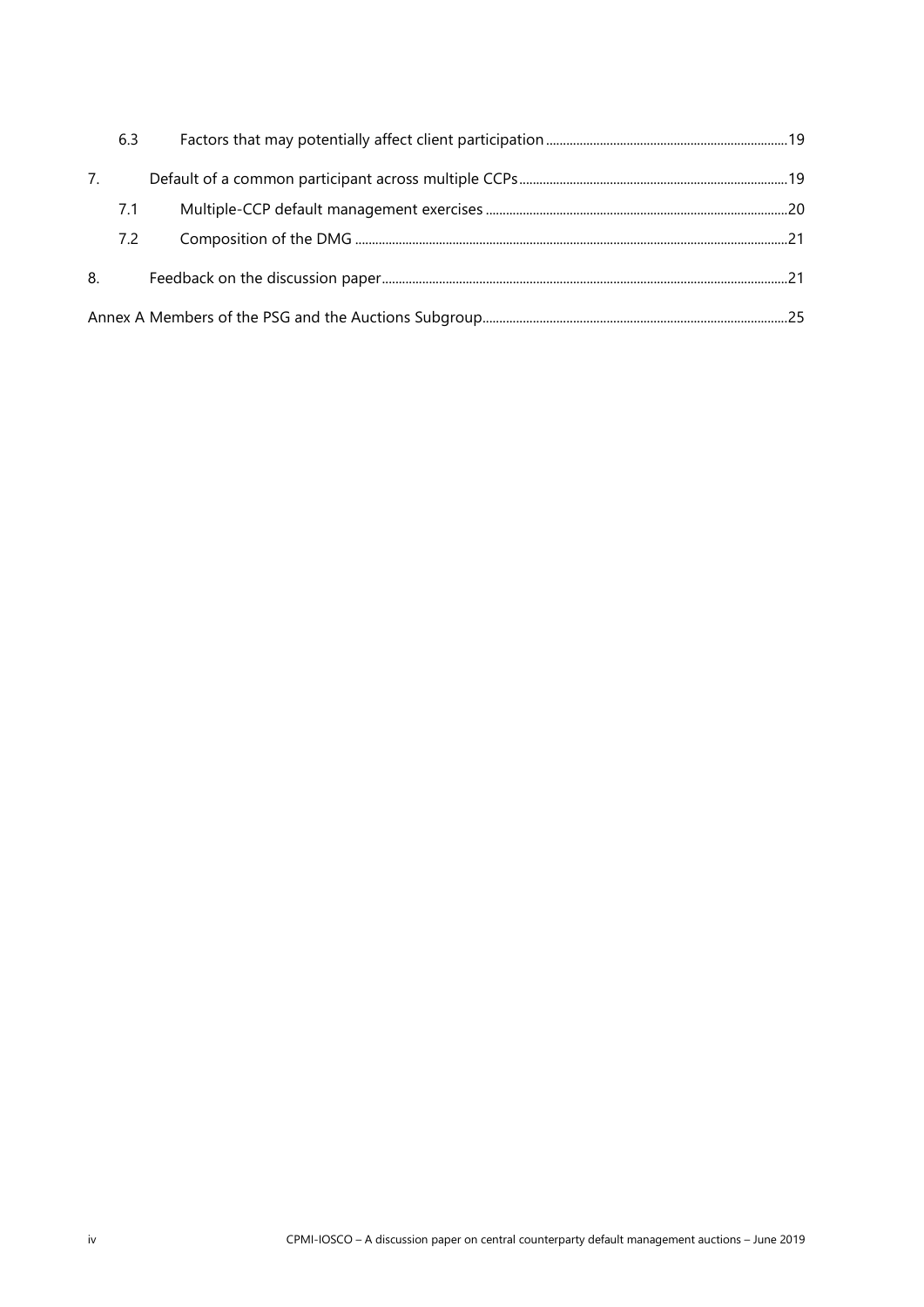|    | 6.3 |  |
|----|-----|--|
| 7. |     |  |
|    | 7.1 |  |
|    | 7.2 |  |
| 8. |     |  |
|    |     |  |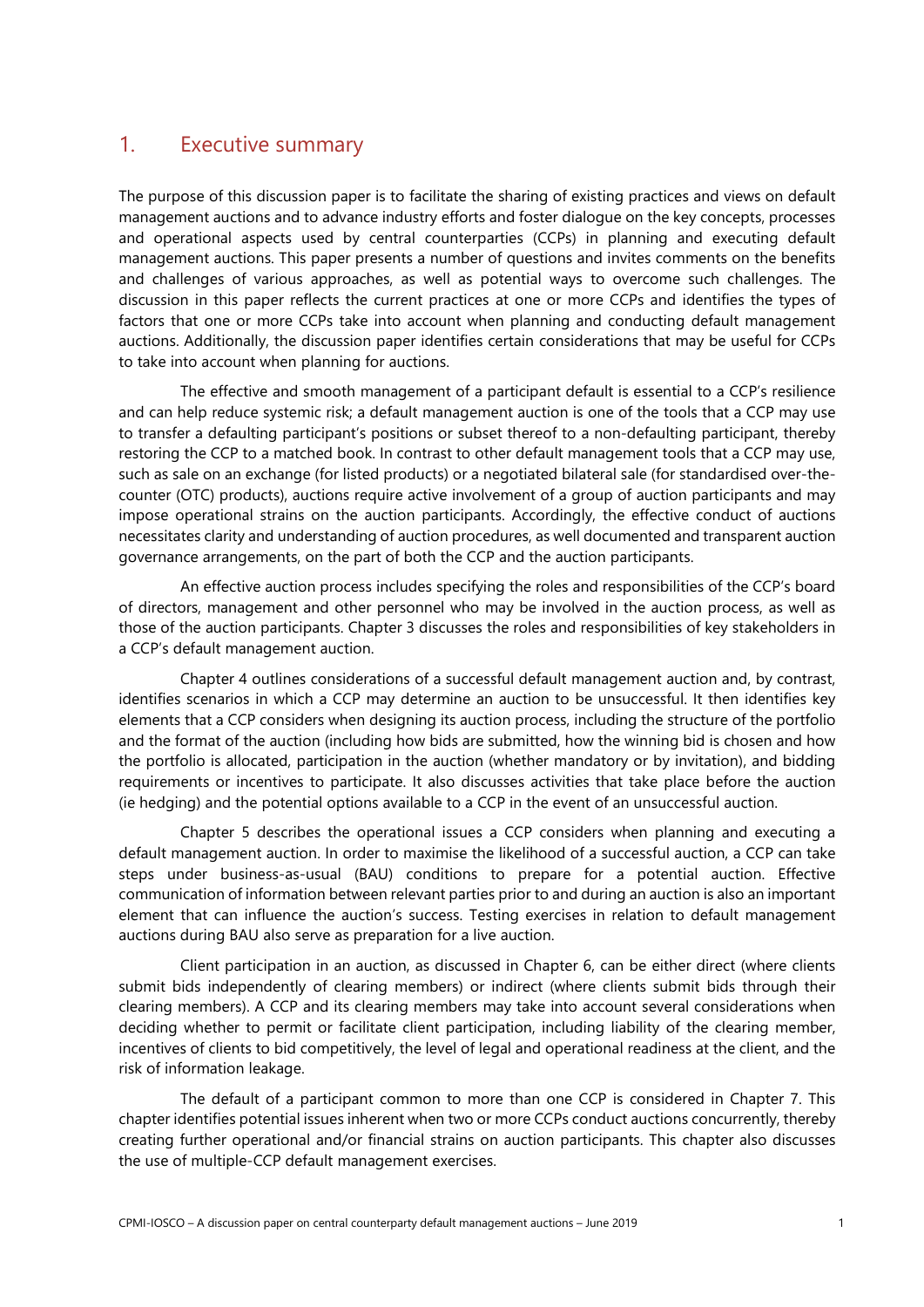# <span id="page-4-0"></span>1. Executive summary

The purpose of this discussion paper is to facilitate the sharing of existing practices and views on default management auctions and to advance industry efforts and foster dialogue on the key concepts, processes and operational aspects used by central counterparties (CCPs) in planning and executing default management auctions. This paper presents a number of questions and invites comments on the benefits and challenges of various approaches, as well as potential ways to overcome such challenges. The discussion in this paper reflects the current practices at one or more CCPs and identifies the types of factors that one or more CCPs take into account when planning and conducting default management auctions. Additionally, the discussion paper identifies certain considerations that may be useful for CCPs to take into account when planning for auctions.

The effective and smooth management of a participant default is essential to a CCP's resilience and can help reduce systemic risk; a default management auction is one of the tools that a CCP may use to transfer a defaulting participant's positions or subset thereof to a non-defaulting participant, thereby restoring the CCP to a matched book. In contrast to other default management tools that a CCP may use, such as sale on an exchange (for listed products) or a negotiated bilateral sale (for standardised over-thecounter (OTC) products), auctions require active involvement of a group of auction participants and may impose operational strains on the auction participants. Accordingly, the effective conduct of auctions necessitates clarity and understanding of auction procedures, as well documented and transparent auction governance arrangements, on the part of both the CCP and the auction participants.

An effective auction process includes specifying the roles and responsibilities of the CCP's board of directors, management and other personnel who may be involved in the auction process, as well as those of the auction participants. Chapter 3 discusses the roles and responsibilities of key stakeholders in a CCP's default management auction.

Chapter 4 outlines considerations of a successful default management auction and, by contrast, identifies scenarios in which a CCP may determine an auction to be unsuccessful. It then identifies key elements that a CCP considers when designing its auction process, including the structure of the portfolio and the format of the auction (including how bids are submitted, how the winning bid is chosen and how the portfolio is allocated, participation in the auction (whether mandatory or by invitation), and bidding requirements or incentives to participate. It also discusses activities that take place before the auction (ie hedging) and the potential options available to a CCP in the event of an unsuccessful auction.

Chapter 5 describes the operational issues a CCP considers when planning and executing a default management auction. In order to maximise the likelihood of a successful auction, a CCP can take steps under business-as-usual (BAU) conditions to prepare for a potential auction. Effective communication of information between relevant parties prior to and during an auction is also an important element that can influence the auction's success. Testing exercises in relation to default management auctions during BAU also serve as preparation for a live auction.

Client participation in an auction, as discussed in Chapter 6, can be either direct (where clients submit bids independently of clearing members) or indirect (where clients submit bids through their clearing members). A CCP and its clearing members may take into account several considerations when deciding whether to permit or facilitate client participation, including liability of the clearing member, incentives of clients to bid competitively, the level of legal and operational readiness at the client, and the risk of information leakage.

The default of a participant common to more than one CCP is considered in Chapter 7. This chapter identifies potential issues inherent when two or more CCPs conduct auctions concurrently, thereby creating further operational and/or financial strains on auction participants. This chapter also discusses the use of multiple-CCP default management exercises.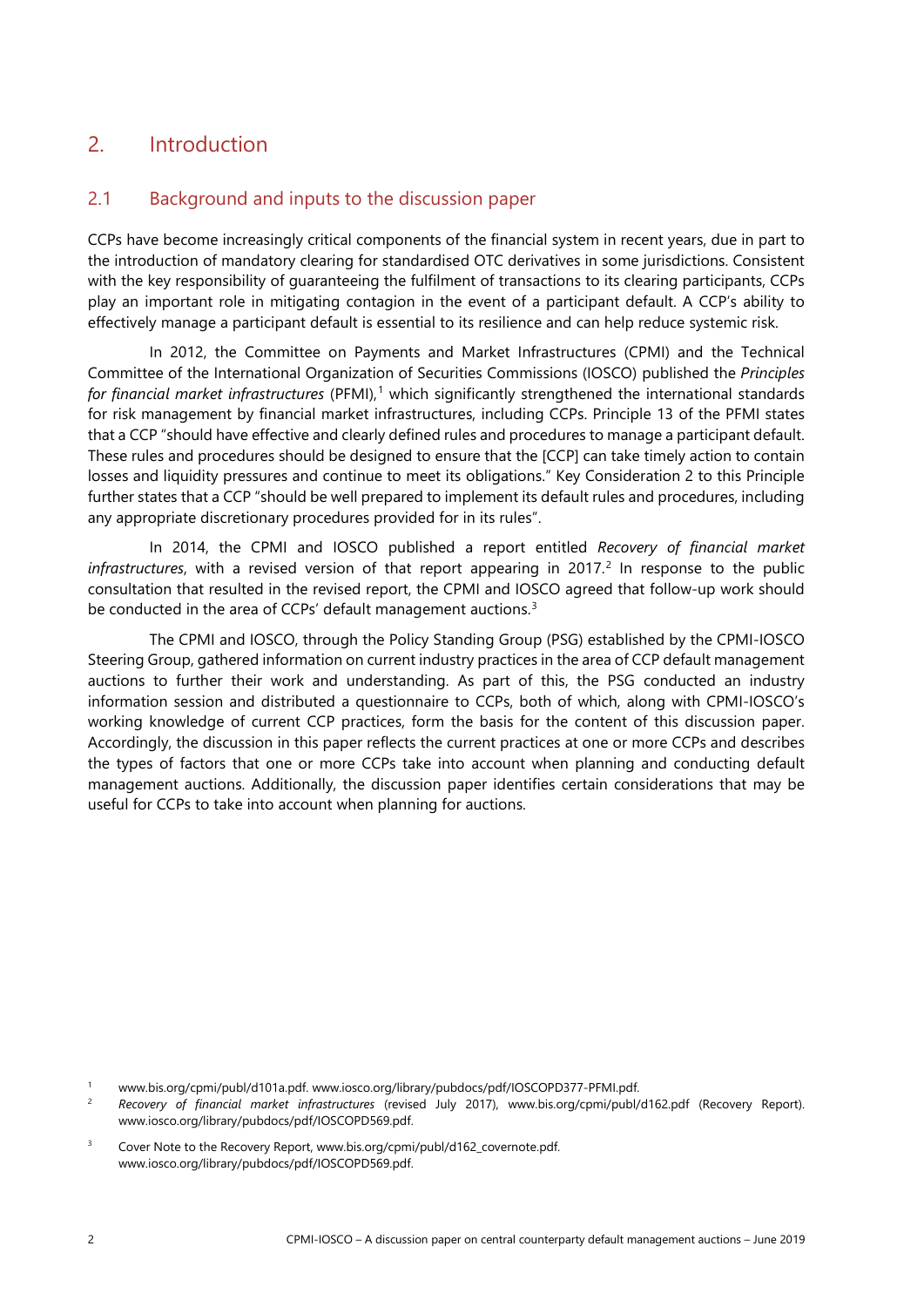# <span id="page-5-0"></span>2. Introduction

## <span id="page-5-1"></span>2.1 Background and inputs to the discussion paper

CCPs have become increasingly critical components of the financial system in recent years, due in part to the introduction of mandatory clearing for standardised OTC derivatives in some jurisdictions. Consistent with the key responsibility of guaranteeing the fulfilment of transactions to its clearing participants, CCPs play an important role in mitigating contagion in the event of a participant default. A CCP's ability to effectively manage a participant default is essential to its resilience and can help reduce systemic risk.

In 2012, the Committee on Payments and Market Infrastructures (CPMI) and the Technical Committee of the International Organization of Securities Commissions (IOSCO) published the *Principles for financial market infrastructures* (PFMI), [1](#page-5-2) which significantly strengthened the international standards for risk management by financial market infrastructures, including CCPs. Principle 13 of the PFMI states that a CCP "should have effective and clearly defined rules and procedures to manage a participant default. These rules and procedures should be designed to ensure that the [CCP] can take timely action to contain losses and liquidity pressures and continue to meet its obligations." Key Consideration 2 to this Principle further states that a CCP "should be well prepared to implement its default rules and procedures, including any appropriate discretionary procedures provided for in its rules".

In 2014, the CPMI and IOSCO published a report entitled *Recovery of financial market infrastructures*, with a revised version of that report appearing in [2](#page-5-3)017.<sup>2</sup> In response to the public consultation that resulted in the revised report, the CPMI and IOSCO agreed that follow-up work should be conducted in the area of CCPs' default management auctions.<sup>[3](#page-5-4)</sup>

The CPMI and IOSCO, through the Policy Standing Group (PSG) established by the CPMI-IOSCO Steering Group, gathered information on current industry practices in the area of CCP default management auctions to further their work and understanding. As part of this, the PSG conducted an industry information session and distributed a questionnaire to CCPs, both of which, along with CPMI-IOSCO's working knowledge of current CCP practices, form the basis for the content of this discussion paper. Accordingly, the discussion in this paper reflects the current practices at one or more CCPs and describes the types of factors that one or more CCPs take into account when planning and conducting default management auctions. Additionally, the discussion paper identifies certain considerations that may be useful for CCPs to take into account when planning for auctions.

<span id="page-5-2"></span><sup>1</sup> [www.bis.org/cpmi/publ/d101a.pdf.](http://www.bis.org/cpmi/publ/d101a.pdf) [www.iosco.org/library/pubdocs/pdf/IOSCOPD377-PFMI.pdf.](http://www.iosco.org/library/pubdocs/pdf/IOSCOPD377-PFMI.pdf)

<span id="page-5-3"></span><sup>2</sup> *Recovery of financial market infrastructures* (revised July 2017), [www.bis.org/cpmi/publ/d162.pdf](http://www.bis.org/cpmi/publ/d162.pdf) (Recovery Report). www.iosco.org/library/pubdocs/pdf/IOSCOPD569.pdf.

<span id="page-5-4"></span><sup>&</sup>lt;sup>3</sup> Cover Note to the Recovery Report, [www.bis.org/cpmi/publ/d162\\_covernote.pdf.](http://www.bis.org/cpmi/publ/d162_covernote.pdf) [www.iosco.org/library/pubdocs/pdf/IOSCOPD569.pdf.](http://www.iosco.org/library/pubdocs/pdf/IOSCOPD569.pdf)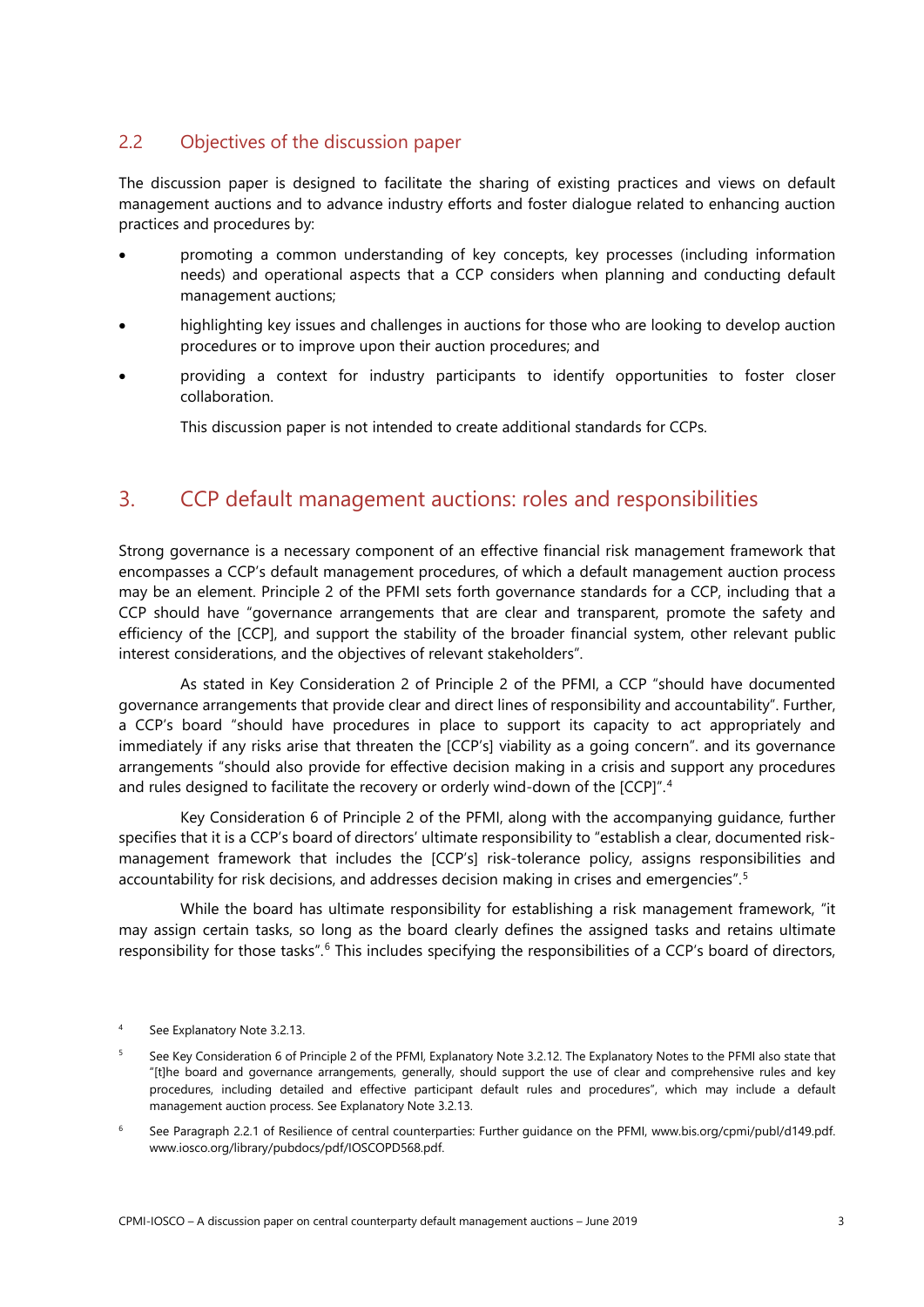# <span id="page-6-0"></span>2.2 Objectives of the discussion paper

The discussion paper is designed to facilitate the sharing of existing practices and views on default management auctions and to advance industry efforts and foster dialogue related to enhancing auction practices and procedures by:

- promoting a common understanding of key concepts, key processes (including information needs) and operational aspects that a CCP considers when planning and conducting default management auctions;
- highlighting key issues and challenges in auctions for those who are looking to develop auction procedures or to improve upon their auction procedures; and
- providing a context for industry participants to identify opportunities to foster closer collaboration.

This discussion paper is not intended to create additional standards for CCPs.

# <span id="page-6-1"></span>3. CCP default management auctions: roles and responsibilities

Strong governance is a necessary component of an effective financial risk management framework that encompasses a CCP's default management procedures, of which a default management auction process may be an element. Principle 2 of the PFMI sets forth governance standards for a CCP, including that a CCP should have "governance arrangements that are clear and transparent, promote the safety and efficiency of the [CCP], and support the stability of the broader financial system, other relevant public interest considerations, and the objectives of relevant stakeholders".

As stated in Key Consideration 2 of Principle 2 of the PFMI, a CCP "should have documented governance arrangements that provide clear and direct lines of responsibility and accountability". Further, a CCP's board "should have procedures in place to support its capacity to act appropriately and immediately if any risks arise that threaten the [CCP's] viability as a going concern". and its governance arrangements "should also provide for effective decision making in a crisis and support any procedures and rules designed to facilitate the recovery or orderly wind-down of the [CCP]". [4](#page-6-2)

Key Consideration 6 of Principle 2 of the PFMI, along with the accompanying guidance, further specifies that it is a CCP's board of directors' ultimate responsibility to "establish a clear, documented riskmanagement framework that includes the [CCP's] risk-tolerance policy, assigns responsibilities and accountability for risk decisions, and addresses decision making in crises and emergencies". [5](#page-6-3)

While the board has ultimate responsibility for establishing a risk management framework, "it may assign certain tasks, so long as the board clearly defines the assigned tasks and retains ultimate responsibility for those tasks".<sup>[6](#page-6-4)</sup> This includes specifying the responsibilities of a CCP's board of directors,

- <span id="page-6-3"></span><sup>5</sup> See Key Consideration 6 of Principle 2 of the PFMI, Explanatory Note 3.2.12. The Explanatory Notes to the PFMI also state that "[t]he board and governance arrangements, generally, should support the use of clear and comprehensive rules and key procedures, including detailed and effective participant default rules and procedures", which may include a default management auction process. See Explanatory Note 3.2.13.
- <span id="page-6-4"></span><sup>6</sup> See Paragraph 2.2.1 of Resilience of central counterparties: Further guidance on the PFMI, [www.bis.org/cpmi/publ/d149.pdf.](http://www.bis.org/cpmi/publ/d149.pdf)  [www.iosco.org/library/pubdocs/pdf/IOSCOPD568.pdf.](http://www.iosco.org/library/pubdocs/pdf/IOSCOPD568.pdf)

<span id="page-6-2"></span>See Explanatory Note 3.2.13.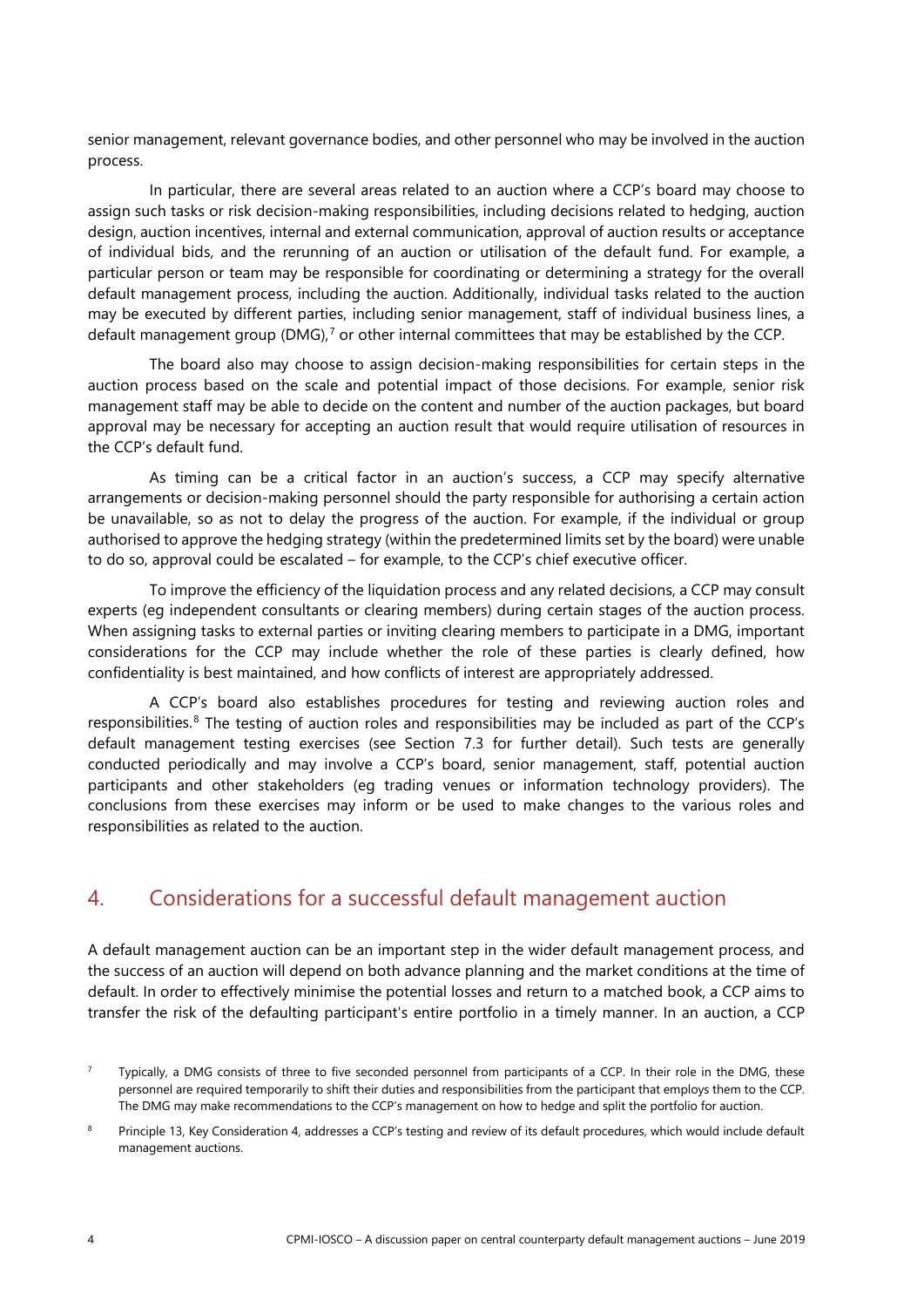senior management, relevant governance bodies, and other personnel who may be involved in the auction process.

In particular, there are several areas related to an auction where a CCP's board may choose to assign such tasks or risk decision-making responsibilities, including decisions related to hedging, auction design, auction incentives, internal and external communication, approval of auction results or acceptance of individual bids, and the rerunning of an auction or utilisation of the default fund. For example, a particular person or team may be responsible for coordinating or determining a strategy for the overall default management process, including the auction. Additionally, individual tasks related to the auction may be executed by different parties, including senior management, staff of individual business lines, a default management group (DMG), [7](#page-7-1) or other internal committees that may be established by the CCP.

The board also may choose to assign decision-making responsibilities for certain steps in the auction process based on the scale and potential impact of those decisions. For example, senior risk management staff may be able to decide on the content and number of the auction packages, but board approval may be necessary for accepting an auction result that would require utilisation of resources in the CCP's default fund.

As timing can be a critical factor in an auction's success, a CCP may specify alternative arrangements or decision-making personnel should the party responsible for authorising a certain action be unavailable, so as not to delay the progress of the auction. For example, if the individual or group authorised to approve the hedging strategy (within the predetermined limits set by the board) were unable to do so, approval could be escalated – for example, to the CCP's chief executive officer.

To improve the efficiency of the liquidation process and any related decisions, a CCP may consult experts (eg independent consultants or clearing members) during certain stages of the auction process. When assigning tasks to external parties or inviting clearing members to participate in a DMG, important considerations for the CCP may include whether the role of these parties is clearly defined, how confidentiality is best maintained, and how conflicts of interest are appropriately addressed.

A CCP's board also establishes procedures for testing and reviewing auction roles and responsibilities.<sup>[8](#page-7-2)</sup> The testing of auction roles and responsibilities may be included as part of the CCP's default management testing exercises (see Section 7.3 for further detail). Such tests are generally conducted periodically and may involve a CCP's board, senior management, staff, potential auction participants and other stakeholders (eg trading venues or information technology providers). The conclusions from these exercises may inform or be used to make changes to the various roles and responsibilities as related to the auction.

# <span id="page-7-0"></span>4. Considerations for a successful default management auction

A default management auction can be an important step in the wider default management process, and the success of an auction will depend on both advance planning and the market conditions at the time of default. In order to effectively minimise the potential losses and return to a matched book, a CCP aims to transfer the risk of the defaulting participant's entire portfolio in a timely manner. In an auction, a CCP

<span id="page-7-1"></span><sup>7</sup> Typically, a DMG consists of three to five seconded personnel from participants of a CCP. In their role in the DMG, these personnel are required temporarily to shift their duties and responsibilities from the participant that employs them to the CCP. The DMG may make recommendations to the CCP's management on how to hedge and split the portfolio for auction.

<span id="page-7-2"></span><sup>8</sup> Principle 13, Key Consideration 4, addresses a CCP's testing and review of its default procedures, which would include default management auctions.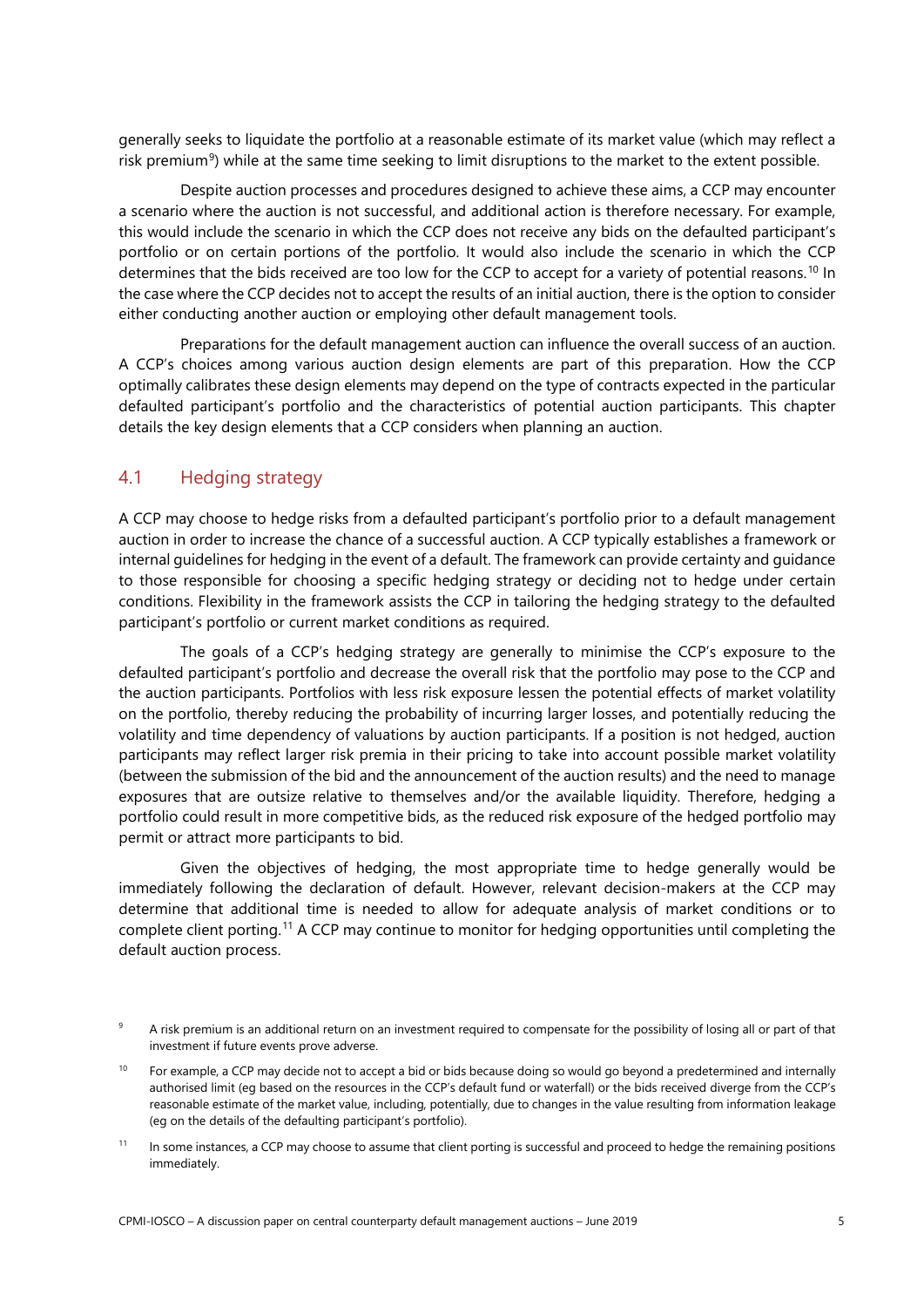generally seeks to liquidate the portfolio at a reasonable estimate of its market value (which may reflect a risk premium<sup>[9](#page-8-1)</sup>) while at the same time seeking to limit disruptions to the market to the extent possible.

Despite auction processes and procedures designed to achieve these aims, a CCP may encounter a scenario where the auction is not successful, and additional action is therefore necessary. For example, this would include the scenario in which the CCP does not receive any bids on the defaulted participant's portfolio or on certain portions of the portfolio. It would also include the scenario in which the CCP determines that the bids received are too low for the CCP to accept for a variety of potential reasons. [10](#page-8-2) In the case where the CCP decides not to accept the results of an initial auction, there is the option to consider either conducting another auction or employing other default management tools.

Preparations for the default management auction can influence the overall success of an auction. A CCP's choices among various auction design elements are part of this preparation. How the CCP optimally calibrates these design elements may depend on the type of contracts expected in the particular defaulted participant's portfolio and the characteristics of potential auction participants. This chapter details the key design elements that a CCP considers when planning an auction.

# <span id="page-8-0"></span>4.1 Hedging strategy

A CCP may choose to hedge risks from a defaulted participant's portfolio prior to a default management auction in order to increase the chance of a successful auction. A CCP typically establishes a framework or internal guidelines for hedging in the event of a default. The framework can provide certainty and guidance to those responsible for choosing a specific hedging strategy or deciding not to hedge under certain conditions. Flexibility in the framework assists the CCP in tailoring the hedging strategy to the defaulted participant's portfolio or current market conditions as required.

The goals of a CCP's hedging strategy are generally to minimise the CCP's exposure to the defaulted participant's portfolio and decrease the overall risk that the portfolio may pose to the CCP and the auction participants. Portfolios with less risk exposure lessen the potential effects of market volatility on the portfolio, thereby reducing the probability of incurring larger losses, and potentially reducing the volatility and time dependency of valuations by auction participants. If a position is not hedged, auction participants may reflect larger risk premia in their pricing to take into account possible market volatility (between the submission of the bid and the announcement of the auction results) and the need to manage exposures that are outsize relative to themselves and/or the available liquidity. Therefore, hedging a portfolio could result in more competitive bids, as the reduced risk exposure of the hedged portfolio may permit or attract more participants to bid.

Given the objectives of hedging, the most appropriate time to hedge generally would be immediately following the declaration of default. However, relevant decision-makers at the CCP may determine that additional time is needed to allow for adequate analysis of market conditions or to complete client porting. [11](#page-8-3) A CCP may continue to monitor for hedging opportunities until completing the default auction process.

<span id="page-8-1"></span><sup>&</sup>lt;sup>9</sup> A risk premium is an additional return on an investment required to compensate for the possibility of losing all or part of that investment if future events prove adverse.

<span id="page-8-2"></span><sup>&</sup>lt;sup>10</sup> For example, a CCP may decide not to accept a bid or bids because doing so would go beyond a predetermined and internally authorised limit (eg based on the resources in the CCP's default fund or waterfall) or the bids received diverge from the CCP's reasonable estimate of the market value, including, potentially, due to changes in the value resulting from information leakage (eg on the details of the defaulting participant's portfolio).

<span id="page-8-3"></span><sup>&</sup>lt;sup>11</sup> In some instances, a CCP may choose to assume that client porting is successful and proceed to hedge the remaining positions immediately.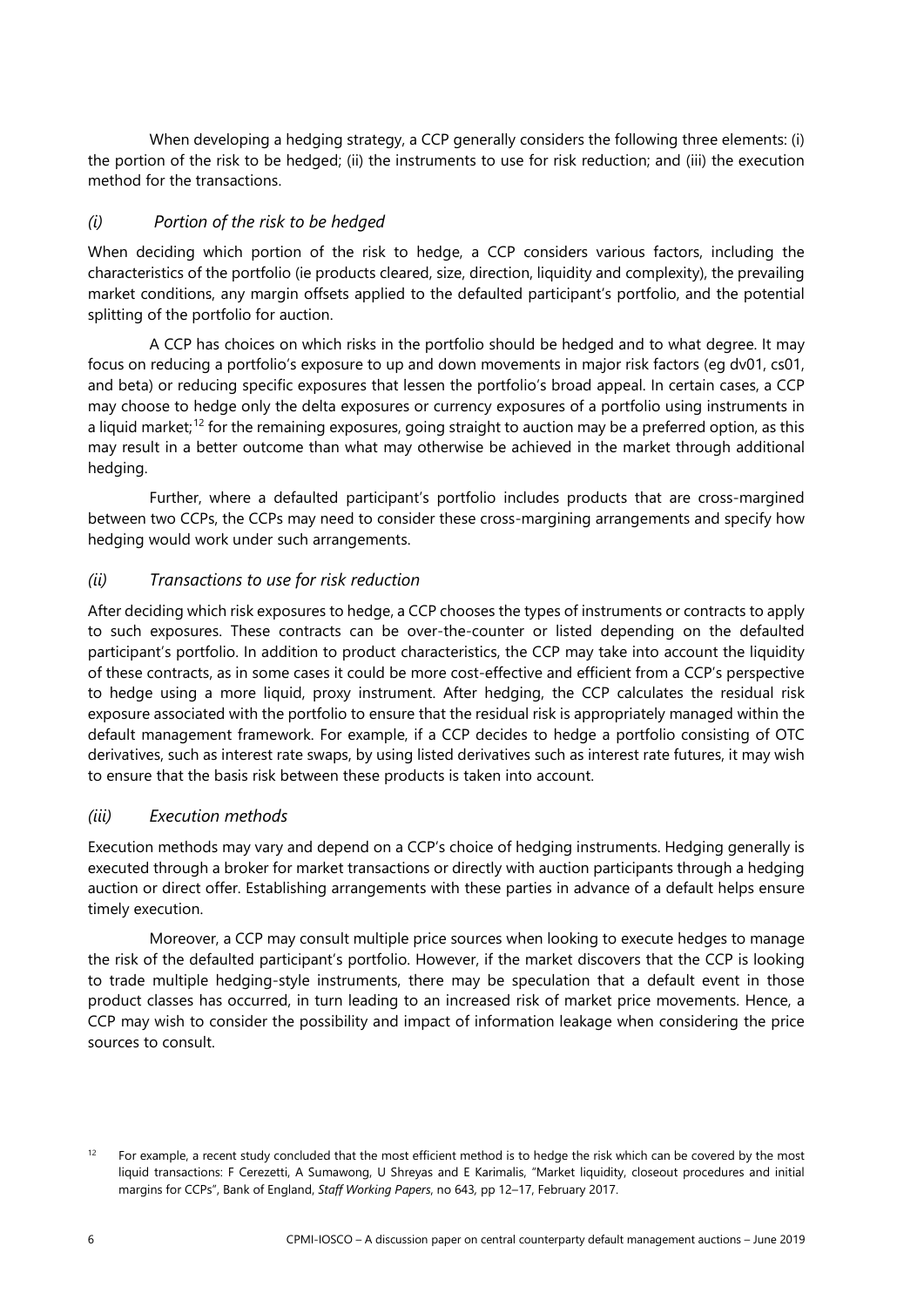When developing a hedging strategy, a CCP generally considers the following three elements: (i) the portion of the risk to be hedged; (ii) the instruments to use for risk reduction; and (iii) the execution method for the transactions.

## *(i) Portion of the risk to be hedged*

When deciding which portion of the risk to hedge, a CCP considers various factors, including the characteristics of the portfolio (ie products cleared, size, direction, liquidity and complexity), the prevailing market conditions, any margin offsets applied to the defaulted participant's portfolio, and the potential splitting of the portfolio for auction.

A CCP has choices on which risks in the portfolio should be hedged and to what degree. It may focus on reducing a portfolio's exposure to up and down movements in major risk factors (eg dv01, cs01, and beta) or reducing specific exposures that lessen the portfolio's broad appeal. In certain cases, a CCP may choose to hedge only the delta exposures or currency exposures of a portfolio using instruments in a liquid market; [12](#page-9-0) for the remaining exposures, going straight to auction may be a preferred option, as this may result in a better outcome than what may otherwise be achieved in the market through additional hedging.

Further, where a defaulted participant's portfolio includes products that are cross-margined between two CCPs, the CCPs may need to consider these cross-margining arrangements and specify how hedging would work under such arrangements.

## *(ii) Transactions to use for risk reduction*

After deciding which risk exposures to hedge, a CCP chooses the types of instruments or contracts to apply to such exposures. These contracts can be over-the-counter or listed depending on the defaulted participant's portfolio. In addition to product characteristics, the CCP may take into account the liquidity of these contracts, as in some cases it could be more cost-effective and efficient from a CCP's perspective to hedge using a more liquid, proxy instrument. After hedging, the CCP calculates the residual risk exposure associated with the portfolio to ensure that the residual risk is appropriately managed within the default management framework. For example, if a CCP decides to hedge a portfolio consisting of OTC derivatives, such as interest rate swaps, by using listed derivatives such as interest rate futures, it may wish to ensure that the basis risk between these products is taken into account.

## *(iii) Execution methods*

Execution methods may vary and depend on a CCP's choice of hedging instruments. Hedging generally is executed through a broker for market transactions or directly with auction participants through a hedging auction or direct offer. Establishing arrangements with these parties in advance of a default helps ensure timely execution.

Moreover, a CCP may consult multiple price sources when looking to execute hedges to manage the risk of the defaulted participant's portfolio. However, if the market discovers that the CCP is looking to trade multiple hedging-style instruments, there may be speculation that a default event in those product classes has occurred, in turn leading to an increased risk of market price movements. Hence, a CCP may wish to consider the possibility and impact of information leakage when considering the price sources to consult.

<span id="page-9-0"></span> $12$  For example, a recent study concluded that the most efficient method is to hedge the risk which can be covered by the most liquid transactions: F Cerezetti, A Sumawong, U Shreyas and E Karimalis, "Market liquidity, closeout procedures and initial margins for CCPs", Bank of England, *Staff Working Papers*, no 643*,* pp 12–17, February 2017.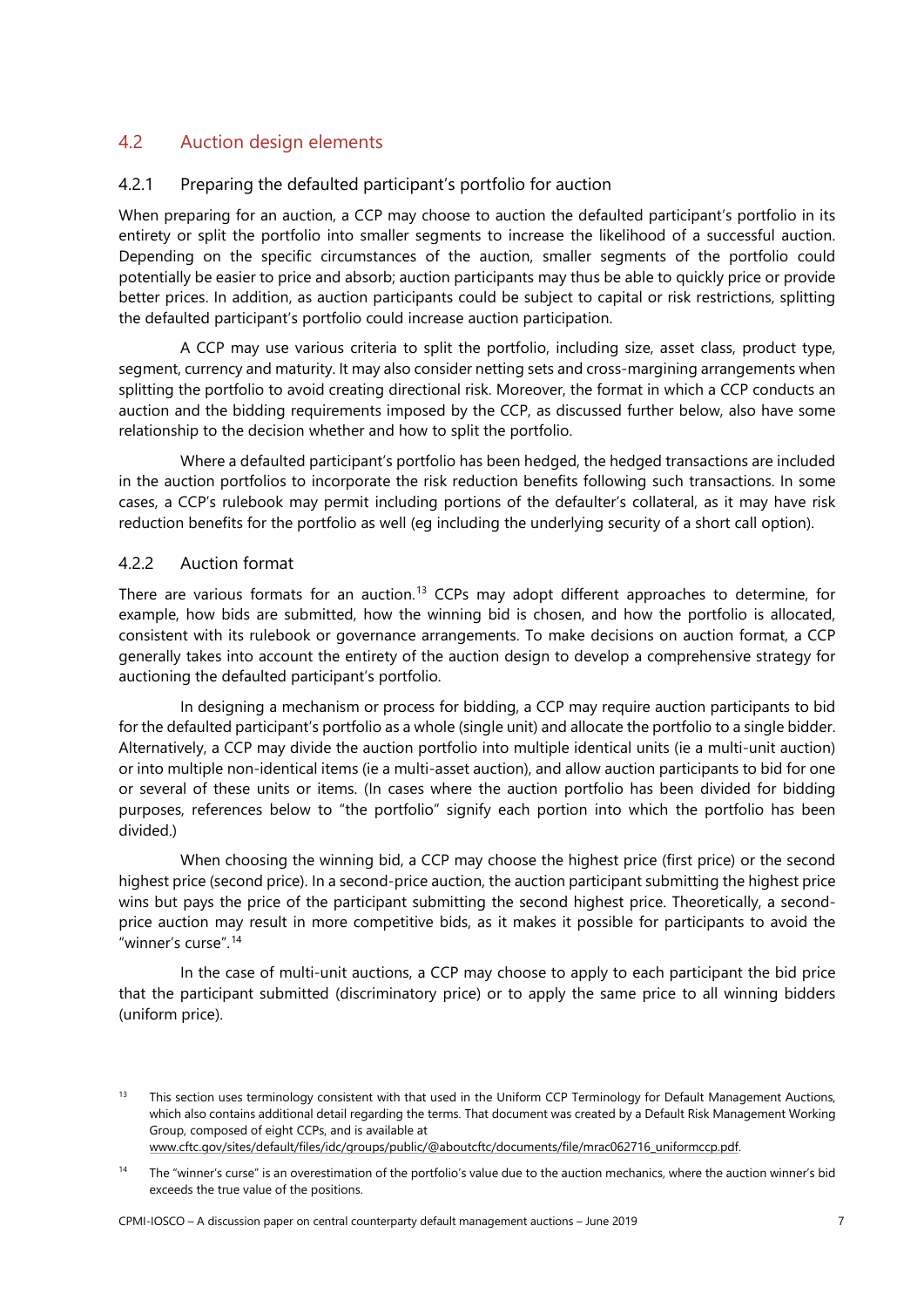# <span id="page-10-0"></span>4.2 Auction design elements

## <span id="page-10-1"></span>4.2.1 Preparing the defaulted participant's portfolio for auction

When preparing for an auction, a CCP may choose to auction the defaulted participant's portfolio in its entirety or split the portfolio into smaller segments to increase the likelihood of a successful auction. Depending on the specific circumstances of the auction, smaller segments of the portfolio could potentially be easier to price and absorb; auction participants may thus be able to quickly price or provide better prices. In addition, as auction participants could be subject to capital or risk restrictions, splitting the defaulted participant's portfolio could increase auction participation.

A CCP may use various criteria to split the portfolio, including size, asset class, product type, segment, currency and maturity. It may also consider netting sets and cross-margining arrangements when splitting the portfolio to avoid creating directional risk. Moreover, the format in which a CCP conducts an auction and the bidding requirements imposed by the CCP, as discussed further below, also have some relationship to the decision whether and how to split the portfolio.

Where a defaulted participant's portfolio has been hedged, the hedged transactions are included in the auction portfolios to incorporate the risk reduction benefits following such transactions. In some cases, a CCP's rulebook may permit including portions of the defaulter's collateral, as it may have risk reduction benefits for the portfolio as well (eg including the underlying security of a short call option).

## <span id="page-10-2"></span>4.2.2 Auction format

There are various formats for an auction. [13](#page-10-3) CCPs may adopt different approaches to determine, for example, how bids are submitted, how the winning bid is chosen, and how the portfolio is allocated, consistent with its rulebook or governance arrangements. To make decisions on auction format, a CCP generally takes into account the entirety of the auction design to develop a comprehensive strategy for auctioning the defaulted participant's portfolio.

In designing a mechanism or process for bidding, a CCP may require auction participants to bid for the defaulted participant's portfolio as a whole (single unit) and allocate the portfolio to a single bidder. Alternatively, a CCP may divide the auction portfolio into multiple identical units (ie a multi-unit auction) or into multiple non-identical items (ie a multi-asset auction), and allow auction participants to bid for one or several of these units or items. (In cases where the auction portfolio has been divided for bidding purposes, references below to "the portfolio" signify each portion into which the portfolio has been divided.)

When choosing the winning bid, a CCP may choose the highest price (first price) or the second highest price (second price). In a second-price auction, the auction participant submitting the highest price wins but pays the price of the participant submitting the second highest price. Theoretically, a secondprice auction may result in more competitive bids, as it makes it possible for participants to avoid the "winner's curse". [14](#page-10-4)

In the case of multi-unit auctions, a CCP may choose to apply to each participant the bid price that the participant submitted (discriminatory price) or to apply the same price to all winning bidders (uniform price).

<span id="page-10-3"></span><sup>&</sup>lt;sup>13</sup> This section uses terminology consistent with that used in the Uniform CCP Terminology for Default Management Auctions, which also contains additional detail regarding the terms. That document was created by a Default Risk Management Working Group, composed of eight CCPs, and is available at

[www.cftc.gov/sites/default/files/idc/groups/public/@aboutcftc/documents/file/mrac062716\\_uniformccp.pdf.](http://www.cftc.gov/sites/default/files/idc/groups/public/@aboutcftc/documents/file/mrac062716_uniformccp.pdf) 

<span id="page-10-4"></span><sup>&</sup>lt;sup>14</sup> The "winner's curse" is an overestimation of the portfolio's value due to the auction mechanics, where the auction winner's bid exceeds the true value of the positions.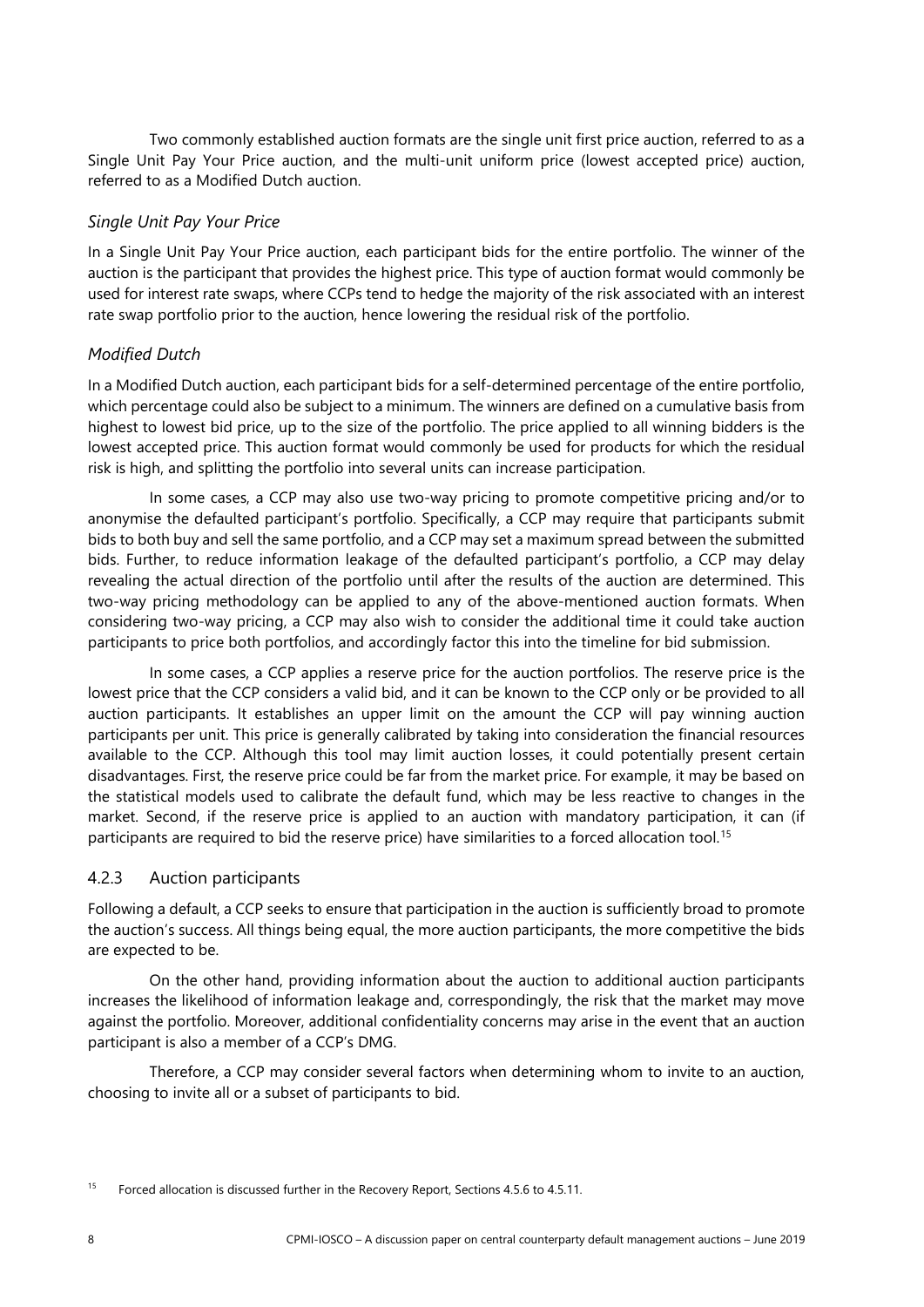Two commonly established auction formats are the single unit first price auction, referred to as a Single Unit Pay Your Price auction, and the multi-unit uniform price (lowest accepted price) auction, referred to as a Modified Dutch auction.

## *Single Unit Pay Your Price*

In a Single Unit Pay Your Price auction, each participant bids for the entire portfolio. The winner of the auction is the participant that provides the highest price. This type of auction format would commonly be used for interest rate swaps, where CCPs tend to hedge the majority of the risk associated with an interest rate swap portfolio prior to the auction, hence lowering the residual risk of the portfolio.

## *Modified Dutch*

In a Modified Dutch auction, each participant bids for a self-determined percentage of the entire portfolio, which percentage could also be subject to a minimum. The winners are defined on a cumulative basis from highest to lowest bid price, up to the size of the portfolio. The price applied to all winning bidders is the lowest accepted price. This auction format would commonly be used for products for which the residual risk is high, and splitting the portfolio into several units can increase participation.

In some cases, a CCP may also use two-way pricing to promote competitive pricing and/or to anonymise the defaulted participant's portfolio. Specifically, a CCP may require that participants submit bids to both buy and sell the same portfolio, and a CCP may set a maximum spread between the submitted bids. Further, to reduce information leakage of the defaulted participant's portfolio, a CCP may delay revealing the actual direction of the portfolio until after the results of the auction are determined. This two-way pricing methodology can be applied to any of the above-mentioned auction formats. When considering two-way pricing, a CCP may also wish to consider the additional time it could take auction participants to price both portfolios, and accordingly factor this into the timeline for bid submission.

In some cases, a CCP applies a reserve price for the auction portfolios. The reserve price is the lowest price that the CCP considers a valid bid, and it can be known to the CCP only or be provided to all auction participants. It establishes an upper limit on the amount the CCP will pay winning auction participants per unit. This price is generally calibrated by taking into consideration the financial resources available to the CCP. Although this tool may limit auction losses, it could potentially present certain disadvantages. First, the reserve price could be far from the market price. For example, it may be based on the statistical models used to calibrate the default fund, which may be less reactive to changes in the market. Second, if the reserve price is applied to an auction with mandatory participation, it can (if participants are required to bid the reserve price) have similarities to a forced allocation tool. [15](#page-11-1)

## <span id="page-11-0"></span>4.2.3 Auction participants

Following a default, a CCP seeks to ensure that participation in the auction is sufficiently broad to promote the auction's success. All things being equal, the more auction participants, the more competitive the bids are expected to be.

On the other hand, providing information about the auction to additional auction participants increases the likelihood of information leakage and, correspondingly, the risk that the market may move against the portfolio. Moreover, additional confidentiality concerns may arise in the event that an auction participant is also a member of a CCP's DMG.

Therefore, a CCP may consider several factors when determining whom to invite to an auction, choosing to invite all or a subset of participants to bid.

<span id="page-11-1"></span><sup>&</sup>lt;sup>15</sup> Forced allocation is discussed further in the Recovery Report, Sections 4.5.6 to 4.5.11.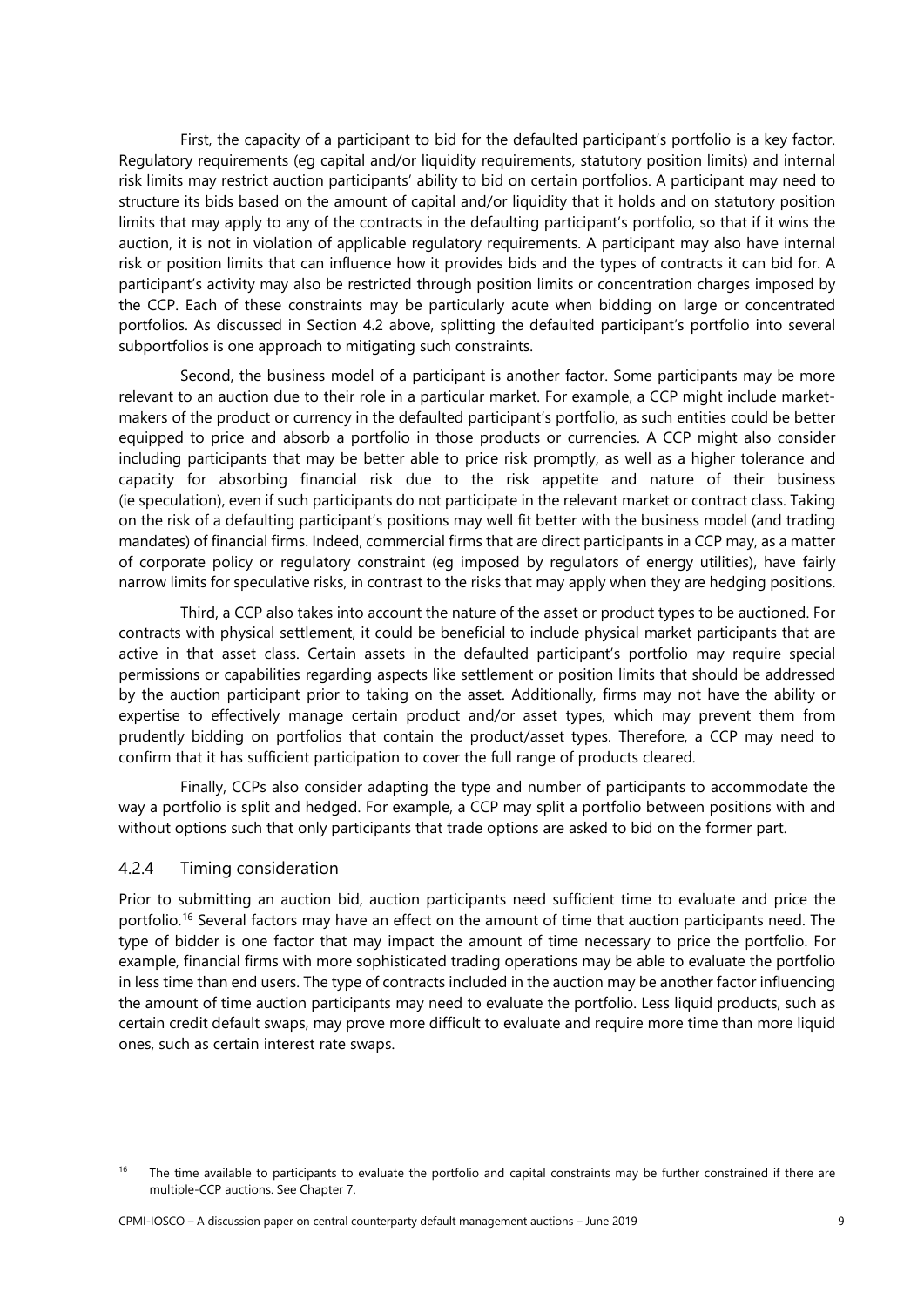First, the capacity of a participant to bid for the defaulted participant's portfolio is a key factor. Regulatory requirements (eg capital and/or liquidity requirements, statutory position limits) and internal risk limits may restrict auction participants' ability to bid on certain portfolios. A participant may need to structure its bids based on the amount of capital and/or liquidity that it holds and on statutory position limits that may apply to any of the contracts in the defaulting participant's portfolio, so that if it wins the auction, it is not in violation of applicable regulatory requirements. A participant may also have internal risk or position limits that can influence how it provides bids and the types of contracts it can bid for. A participant's activity may also be restricted through position limits or concentration charges imposed by the CCP. Each of these constraints may be particularly acute when bidding on large or concentrated portfolios. As discussed in Section 4.2 above, splitting the defaulted participant's portfolio into several subportfolios is one approach to mitigating such constraints.

Second, the business model of a participant is another factor. Some participants may be more relevant to an auction due to their role in a particular market. For example, a CCP might include marketmakers of the product or currency in the defaulted participant's portfolio, as such entities could be better equipped to price and absorb a portfolio in those products or currencies. A CCP might also consider including participants that may be better able to price risk promptly, as well as a higher tolerance and capacity for absorbing financial risk due to the risk appetite and nature of their business (ie speculation), even if such participants do not participate in the relevant market or contract class. Taking on the risk of a defaulting participant's positions may well fit better with the business model (and trading mandates) of financial firms. Indeed, commercial firms that are direct participants in a CCP may, as a matter of corporate policy or regulatory constraint (eg imposed by regulators of energy utilities), have fairly narrow limits for speculative risks, in contrast to the risks that may apply when they are hedging positions.

Third, a CCP also takes into account the nature of the asset or product types to be auctioned. For contracts with physical settlement, it could be beneficial to include physical market participants that are active in that asset class. Certain assets in the defaulted participant's portfolio may require special permissions or capabilities regarding aspects like settlement or position limits that should be addressed by the auction participant prior to taking on the asset. Additionally, firms may not have the ability or expertise to effectively manage certain product and/or asset types, which may prevent them from prudently bidding on portfolios that contain the product/asset types. Therefore, a CCP may need to confirm that it has sufficient participation to cover the full range of products cleared.

Finally, CCPs also consider adapting the type and number of participants to accommodate the way a portfolio is split and hedged. For example, a CCP may split a portfolio between positions with and without options such that only participants that trade options are asked to bid on the former part.

#### <span id="page-12-0"></span>4.2.4 Timing consideration

Prior to submitting an auction bid, auction participants need sufficient time to evaluate and price the portfolio.<sup>[16](#page-12-1)</sup> Several factors may have an effect on the amount of time that auction participants need. The type of bidder is one factor that may impact the amount of time necessary to price the portfolio. For example, financial firms with more sophisticated trading operations may be able to evaluate the portfolio in less time than end users. The type of contracts included in the auction may be another factor influencing the amount of time auction participants may need to evaluate the portfolio. Less liquid products, such as certain credit default swaps, may prove more difficult to evaluate and require more time than more liquid ones, such as certain interest rate swaps.

<span id="page-12-1"></span><sup>&</sup>lt;sup>16</sup> The time available to participants to evaluate the portfolio and capital constraints may be further constrained if there are multiple-CCP auctions. See Chapter 7.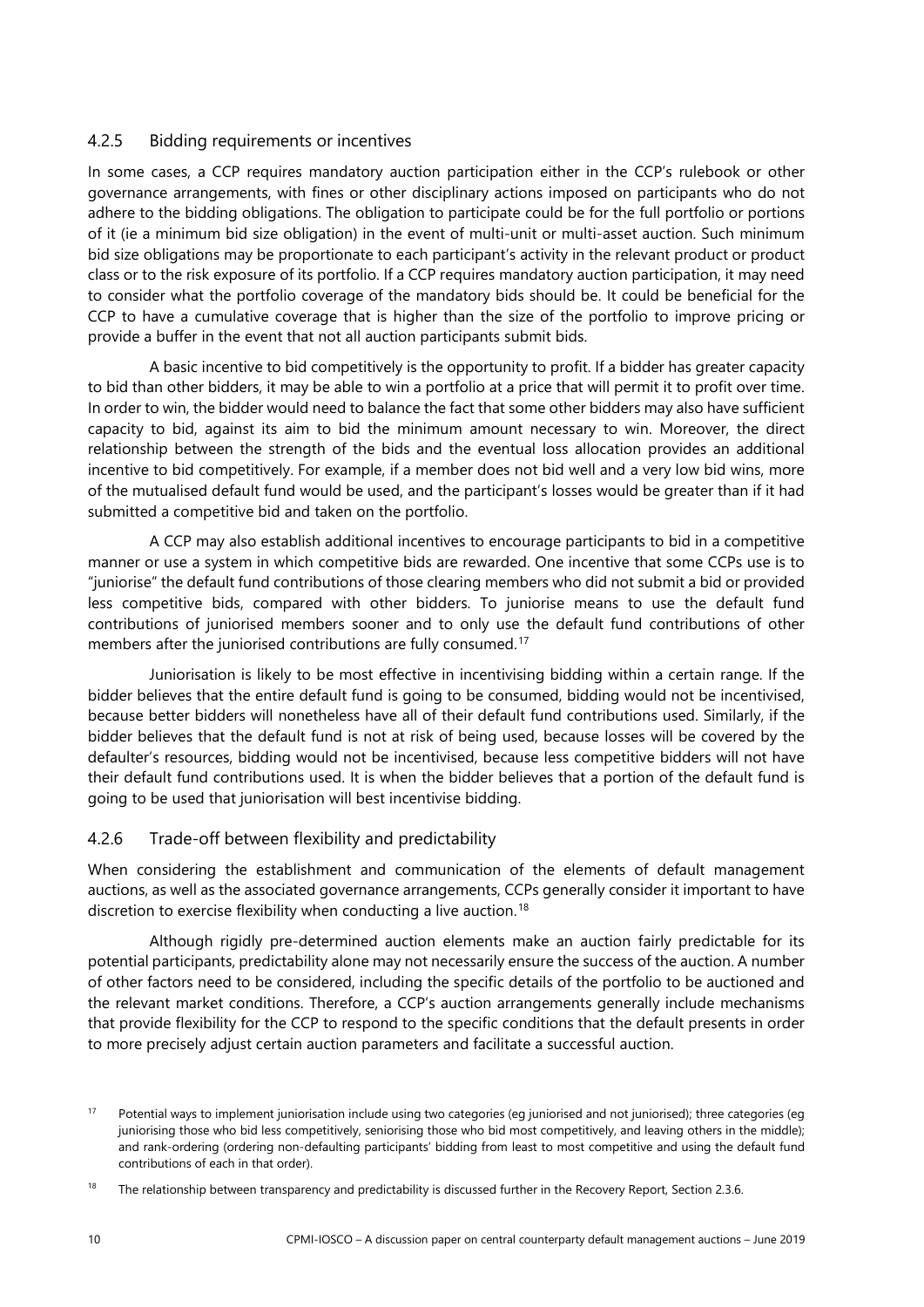#### <span id="page-13-0"></span>4.2.5 Bidding requirements or incentives

In some cases, a CCP requires mandatory auction participation either in the CCP's rulebook or other governance arrangements, with fines or other disciplinary actions imposed on participants who do not adhere to the bidding obligations. The obligation to participate could be for the full portfolio or portions of it (ie a minimum bid size obligation) in the event of multi-unit or multi-asset auction. Such minimum bid size obligations may be proportionate to each participant's activity in the relevant product or product class or to the risk exposure of its portfolio. If a CCP requires mandatory auction participation, it may need to consider what the portfolio coverage of the mandatory bids should be. It could be beneficial for the CCP to have a cumulative coverage that is higher than the size of the portfolio to improve pricing or provide a buffer in the event that not all auction participants submit bids.

A basic incentive to bid competitively is the opportunity to profit. If a bidder has greater capacity to bid than other bidders, it may be able to win a portfolio at a price that will permit it to profit over time. In order to win, the bidder would need to balance the fact that some other bidders may also have sufficient capacity to bid, against its aim to bid the minimum amount necessary to win. Moreover, the direct relationship between the strength of the bids and the eventual loss allocation provides an additional incentive to bid competitively. For example, if a member does not bid well and a very low bid wins, more of the mutualised default fund would be used, and the participant's losses would be greater than if it had submitted a competitive bid and taken on the portfolio.

A CCP may also establish additional incentives to encourage participants to bid in a competitive manner or use a system in which competitive bids are rewarded. One incentive that some CCPs use is to "juniorise" the default fund contributions of those clearing members who did not submit a bid or provided less competitive bids, compared with other bidders. To juniorise means to use the default fund contributions of juniorised members sooner and to only use the default fund contributions of other members after the juniorised contributions are fully consumed. [17](#page-13-2)

Juniorisation is likely to be most effective in incentivising bidding within a certain range. If the bidder believes that the entire default fund is going to be consumed, bidding would not be incentivised, because better bidders will nonetheless have all of their default fund contributions used. Similarly, if the bidder believes that the default fund is not at risk of being used, because losses will be covered by the defaulter's resources, bidding would not be incentivised, because less competitive bidders will not have their default fund contributions used. It is when the bidder believes that a portion of the default fund is going to be used that juniorisation will best incentivise bidding.

## <span id="page-13-1"></span>4.2.6 Trade-off between flexibility and predictability

When considering the establishment and communication of the elements of default management auctions, as well as the associated governance arrangements, CCPs generally consider it important to have discretion to exercise flexibility when conducting a live auction. [18](#page-13-3)

Although rigidly pre-determined auction elements make an auction fairly predictable for its potential participants, predictability alone may not necessarily ensure the success of the auction. A number of other factors need to be considered, including the specific details of the portfolio to be auctioned and the relevant market conditions. Therefore, a CCP's auction arrangements generally include mechanisms that provide flexibility for the CCP to respond to the specific conditions that the default presents in order to more precisely adjust certain auction parameters and facilitate a successful auction.

<span id="page-13-2"></span><sup>&</sup>lt;sup>17</sup> Potential ways to implement juniorisation include using two categories (eg juniorised and not juniorised); three categories (eg juniorising those who bid less competitively, seniorising those who bid most competitively, and leaving others in the middle); and rank-ordering (ordering non-defaulting participants' bidding from least to most competitive and using the default fund contributions of each in that order).

<span id="page-13-3"></span><sup>&</sup>lt;sup>18</sup> The relationship between transparency and predictability is discussed further in the Recovery Report, Section 2.3.6.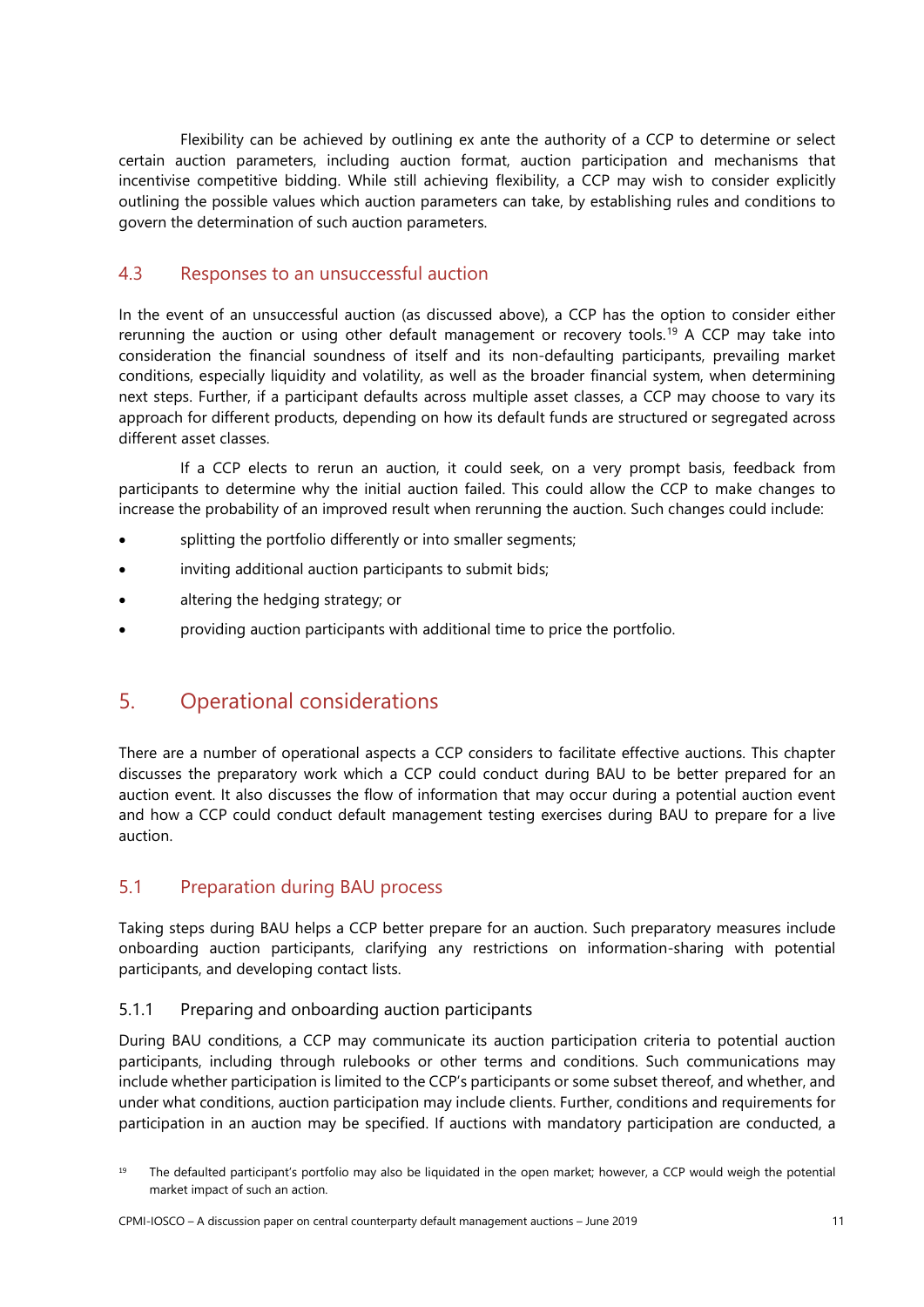Flexibility can be achieved by outlining ex ante the authority of a CCP to determine or select certain auction parameters, including auction format, auction participation and mechanisms that incentivise competitive bidding. While still achieving flexibility, a CCP may wish to consider explicitly outlining the possible values which auction parameters can take, by establishing rules and conditions to govern the determination of such auction parameters.

# <span id="page-14-0"></span>4.3 Responses to an unsuccessful auction

In the event of an unsuccessful auction (as discussed above), a CCP has the option to consider either rerunning the auction or using other default management or recovery tools.<sup>[19](#page-14-4)</sup> A CCP may take into consideration the financial soundness of itself and its non-defaulting participants, prevailing market conditions, especially liquidity and volatility, as well as the broader financial system, when determining next steps. Further, if a participant defaults across multiple asset classes, a CCP may choose to vary its approach for different products, depending on how its default funds are structured or segregated across different asset classes.

If a CCP elects to rerun an auction, it could seek, on a very prompt basis, feedback from participants to determine why the initial auction failed. This could allow the CCP to make changes to increase the probability of an improved result when rerunning the auction. Such changes could include:

- splitting the portfolio differently or into smaller segments;
- inviting additional auction participants to submit bids;
- altering the hedging strategy; or
- <span id="page-14-1"></span>• providing auction participants with additional time to price the portfolio.

# 5. Operational considerations

There are a number of operational aspects a CCP considers to facilitate effective auctions. This chapter discusses the preparatory work which a CCP could conduct during BAU to be better prepared for an auction event. It also discusses the flow of information that may occur during a potential auction event and how a CCP could conduct default management testing exercises during BAU to prepare for a live auction.

# <span id="page-14-2"></span>5.1 Preparation during BAU process

Taking steps during BAU helps a CCP better prepare for an auction. Such preparatory measures include onboarding auction participants, clarifying any restrictions on information-sharing with potential participants, and developing contact lists.

## <span id="page-14-3"></span>5.1.1 Preparing and onboarding auction participants

During BAU conditions, a CCP may communicate its auction participation criteria to potential auction participants, including through rulebooks or other terms and conditions. Such communications may include whether participation is limited to the CCP's participants or some subset thereof, and whether, and under what conditions, auction participation may include clients. Further, conditions and requirements for participation in an auction may be specified. If auctions with mandatory participation are conducted, a

<span id="page-14-4"></span><sup>&</sup>lt;sup>19</sup> The defaulted participant's portfolio may also be liquidated in the open market; however, a CCP would weigh the potential market impact of such an action.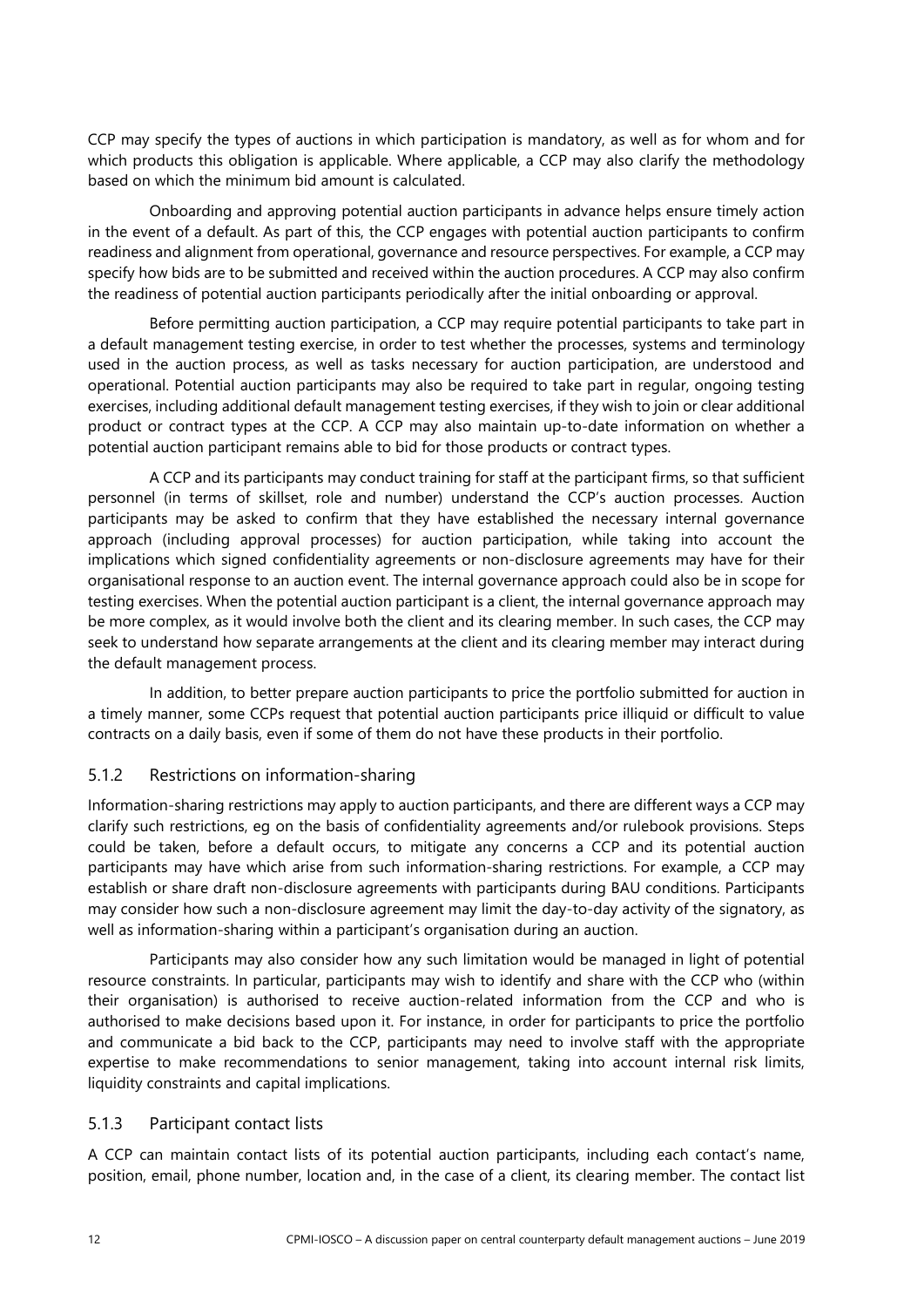CCP may specify the types of auctions in which participation is mandatory, as well as for whom and for which products this obligation is applicable. Where applicable, a CCP may also clarify the methodology based on which the minimum bid amount is calculated.

Onboarding and approving potential auction participants in advance helps ensure timely action in the event of a default. As part of this, the CCP engages with potential auction participants to confirm readiness and alignment from operational, governance and resource perspectives. For example, a CCP may specify how bids are to be submitted and received within the auction procedures. A CCP may also confirm the readiness of potential auction participants periodically after the initial onboarding or approval.

Before permitting auction participation, a CCP may require potential participants to take part in a default management testing exercise, in order to test whether the processes, systems and terminology used in the auction process, as well as tasks necessary for auction participation, are understood and operational. Potential auction participants may also be required to take part in regular, ongoing testing exercises, including additional default management testing exercises, if they wish to join or clear additional product or contract types at the CCP. A CCP may also maintain up-to-date information on whether a potential auction participant remains able to bid for those products or contract types.

A CCP and its participants may conduct training for staff at the participant firms, so that sufficient personnel (in terms of skillset, role and number) understand the CCP's auction processes. Auction participants may be asked to confirm that they have established the necessary internal governance approach (including approval processes) for auction participation, while taking into account the implications which signed confidentiality agreements or non-disclosure agreements may have for their organisational response to an auction event. The internal governance approach could also be in scope for testing exercises. When the potential auction participant is a client, the internal governance approach may be more complex, as it would involve both the client and its clearing member. In such cases, the CCP may seek to understand how separate arrangements at the client and its clearing member may interact during the default management process.

In addition, to better prepare auction participants to price the portfolio submitted for auction in a timely manner, some CCPs request that potential auction participants price illiquid or difficult to value contracts on a daily basis, even if some of them do not have these products in their portfolio.

## <span id="page-15-0"></span>5.1.2 Restrictions on information-sharing

Information-sharing restrictions may apply to auction participants, and there are different ways a CCP may clarify such restrictions, eg on the basis of confidentiality agreements and/or rulebook provisions. Steps could be taken, before a default occurs, to mitigate any concerns a CCP and its potential auction participants may have which arise from such information-sharing restrictions. For example, a CCP may establish or share draft non-disclosure agreements with participants during BAU conditions. Participants may consider how such a non-disclosure agreement may limit the day-to-day activity of the signatory, as well as information-sharing within a participant's organisation during an auction.

Participants may also consider how any such limitation would be managed in light of potential resource constraints. In particular, participants may wish to identify and share with the CCP who (within their organisation) is authorised to receive auction-related information from the CCP and who is authorised to make decisions based upon it. For instance, in order for participants to price the portfolio and communicate a bid back to the CCP, participants may need to involve staff with the appropriate expertise to make recommendations to senior management, taking into account internal risk limits, liquidity constraints and capital implications.

## <span id="page-15-1"></span>5.1.3 Participant contact lists

A CCP can maintain contact lists of its potential auction participants, including each contact's name, position, email, phone number, location and, in the case of a client, its clearing member. The contact list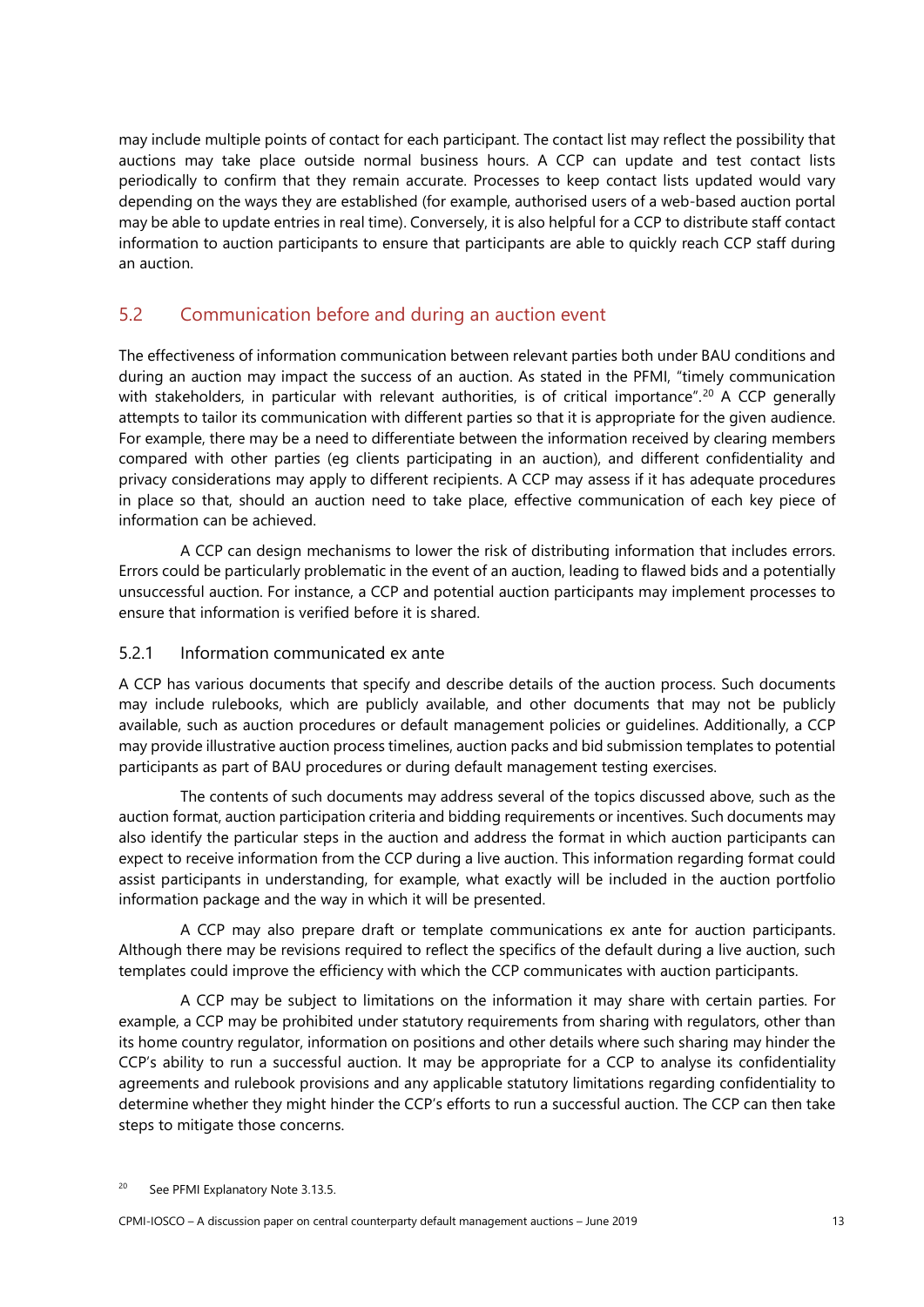may include multiple points of contact for each participant. The contact list may reflect the possibility that auctions may take place outside normal business hours. A CCP can update and test contact lists periodically to confirm that they remain accurate. Processes to keep contact lists updated would vary depending on the ways they are established (for example, authorised users of a web-based auction portal may be able to update entries in real time). Conversely, it is also helpful for a CCP to distribute staff contact information to auction participants to ensure that participants are able to quickly reach CCP staff during an auction.

# <span id="page-16-0"></span>5.2 Communication before and during an auction event

The effectiveness of information communication between relevant parties both under BAU conditions and during an auction may impact the success of an auction. As stated in the PFMI, "timely communication with stakeholders, in particular with relevant authorities, is of critical importance". [20](#page-16-2) A CCP generally attempts to tailor its communication with different parties so that it is appropriate for the given audience. For example, there may be a need to differentiate between the information received by clearing members compared with other parties (eg clients participating in an auction), and different confidentiality and privacy considerations may apply to different recipients. A CCP may assess if it has adequate procedures in place so that, should an auction need to take place, effective communication of each key piece of information can be achieved.

A CCP can design mechanisms to lower the risk of distributing information that includes errors. Errors could be particularly problematic in the event of an auction, leading to flawed bids and a potentially unsuccessful auction. For instance, a CCP and potential auction participants may implement processes to ensure that information is verified before it is shared.

#### <span id="page-16-1"></span>5.2.1 Information communicated ex ante

A CCP has various documents that specify and describe details of the auction process. Such documents may include rulebooks, which are publicly available, and other documents that may not be publicly available, such as auction procedures or default management policies or guidelines. Additionally, a CCP may provide illustrative auction process timelines, auction packs and bid submission templates to potential participants as part of BAU procedures or during default management testing exercises.

The contents of such documents may address several of the topics discussed above, such as the auction format, auction participation criteria and bidding requirements or incentives. Such documents may also identify the particular steps in the auction and address the format in which auction participants can expect to receive information from the CCP during a live auction. This information regarding format could assist participants in understanding, for example, what exactly will be included in the auction portfolio information package and the way in which it will be presented.

A CCP may also prepare draft or template communications ex ante for auction participants. Although there may be revisions required to reflect the specifics of the default during a live auction, such templates could improve the efficiency with which the CCP communicates with auction participants.

A CCP may be subject to limitations on the information it may share with certain parties. For example, a CCP may be prohibited under statutory requirements from sharing with regulators, other than its home country regulator, information on positions and other details where such sharing may hinder the CCP's ability to run a successful auction. It may be appropriate for a CCP to analyse its confidentiality agreements and rulebook provisions and any applicable statutory limitations regarding confidentiality to determine whether they might hinder the CCP's efforts to run a successful auction. The CCP can then take steps to mitigate those concerns.

<span id="page-16-2"></span>See PFMI Explanatory Note 3.13.5.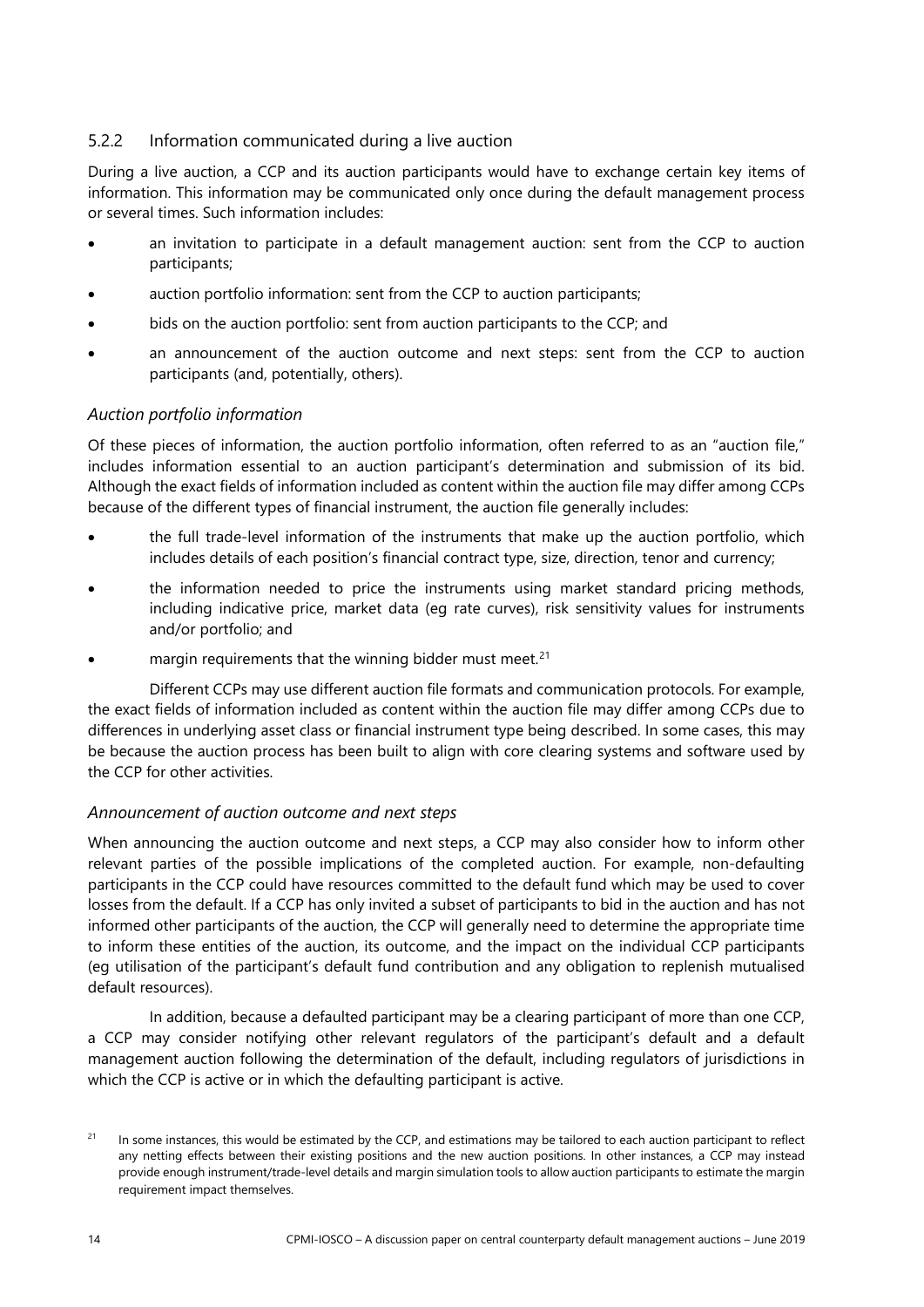## <span id="page-17-0"></span>5.2.2 Information communicated during a live auction

During a live auction, a CCP and its auction participants would have to exchange certain key items of information. This information may be communicated only once during the default management process or several times. Such information includes:

- an invitation to participate in a default management auction: sent from the CCP to auction participants;
- auction portfolio information: sent from the CCP to auction participants;
- bids on the auction portfolio: sent from auction participants to the CCP; and
- an announcement of the auction outcome and next steps: sent from the CCP to auction participants (and, potentially, others).

## *Auction portfolio information*

Of these pieces of information, the auction portfolio information, often referred to as an "auction file," includes information essential to an auction participant's determination and submission of its bid. Although the exact fields of information included as content within the auction file may differ among CCPs because of the different types of financial instrument, the auction file generally includes:

- the full trade-level information of the instruments that make up the auction portfolio, which includes details of each position's financial contract type, size, direction, tenor and currency;
- the information needed to price the instruments using market standard pricing methods, including indicative price, market data (eg rate curves), risk sensitivity values for instruments and/or portfolio; and
- margin requirements that the winning bidder must meet.<sup>[21](#page-17-1)</sup>

Different CCPs may use different auction file formats and communication protocols. For example, the exact fields of information included as content within the auction file may differ among CCPs due to differences in underlying asset class or financial instrument type being described. In some cases, this may be because the auction process has been built to align with core clearing systems and software used by the CCP for other activities.

## *Announcement of auction outcome and next steps*

When announcing the auction outcome and next steps, a CCP may also consider how to inform other relevant parties of the possible implications of the completed auction. For example, non-defaulting participants in the CCP could have resources committed to the default fund which may be used to cover losses from the default. If a CCP has only invited a subset of participants to bid in the auction and has not informed other participants of the auction, the CCP will generally need to determine the appropriate time to inform these entities of the auction, its outcome, and the impact on the individual CCP participants (eg utilisation of the participant's default fund contribution and any obligation to replenish mutualised default resources).

In addition, because a defaulted participant may be a clearing participant of more than one CCP, a CCP may consider notifying other relevant regulators of the participant's default and a default management auction following the determination of the default, including regulators of jurisdictions in which the CCP is active or in which the defaulting participant is active.

<span id="page-17-1"></span><sup>&</sup>lt;sup>21</sup> In some instances, this would be estimated by the CCP, and estimations may be tailored to each auction participant to reflect any netting effects between their existing positions and the new auction positions. In other instances, a CCP may instead provide enough instrument/trade-level details and margin simulation tools to allow auction participants to estimate the margin requirement impact themselves.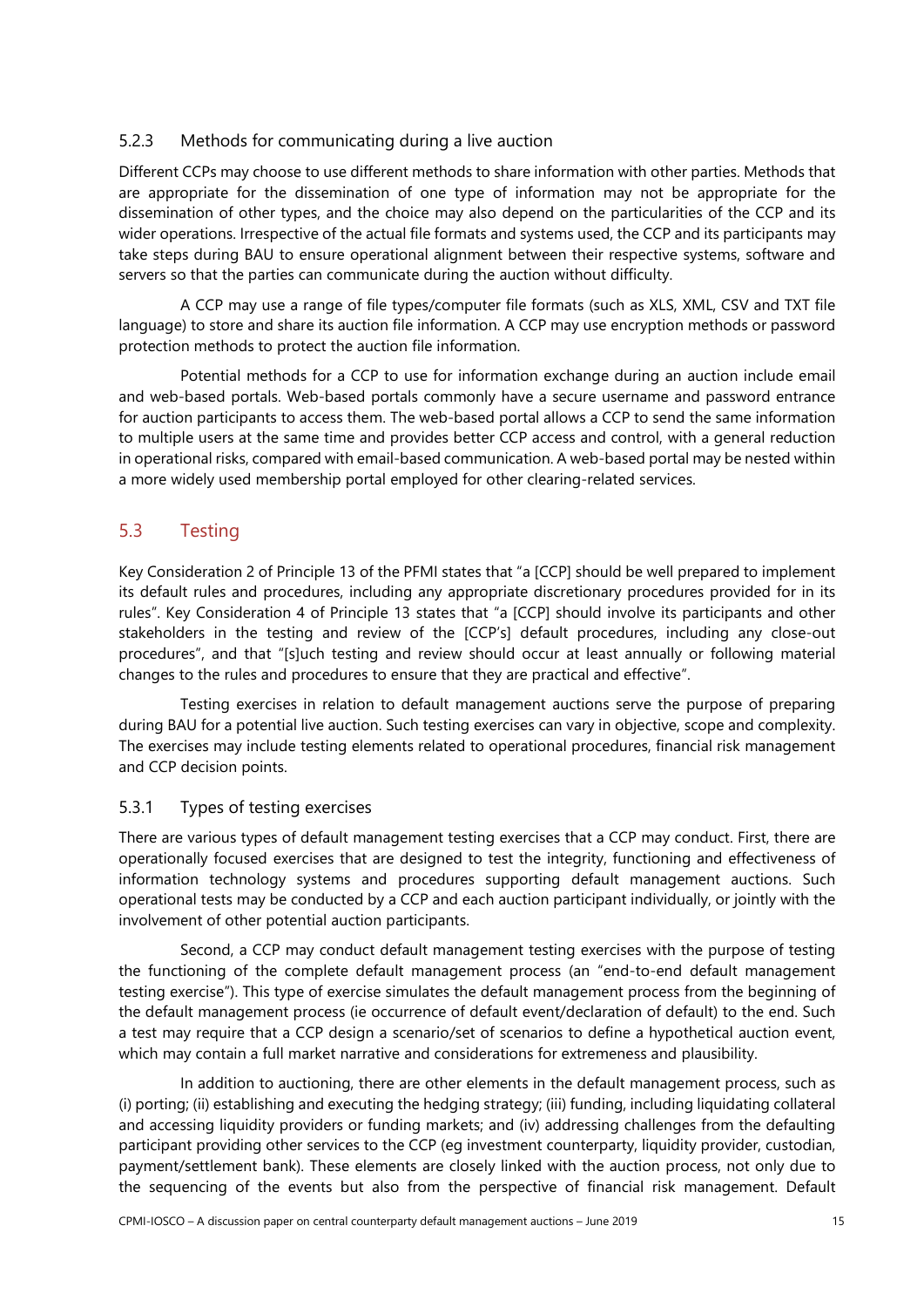## <span id="page-18-0"></span>5.2.3 Methods for communicating during a live auction

Different CCPs may choose to use different methods to share information with other parties. Methods that are appropriate for the dissemination of one type of information may not be appropriate for the dissemination of other types, and the choice may also depend on the particularities of the CCP and its wider operations. Irrespective of the actual file formats and systems used, the CCP and its participants may take steps during BAU to ensure operational alignment between their respective systems, software and servers so that the parties can communicate during the auction without difficulty.

A CCP may use a range of file types/computer file formats (such as XLS, XML, CSV and TXT file language) to store and share its auction file information. A CCP may use encryption methods or password protection methods to protect the auction file information.

Potential methods for a CCP to use for information exchange during an auction include email and web-based portals. Web-based portals commonly have a secure username and password entrance for auction participants to access them. The web-based portal allows a CCP to send the same information to multiple users at the same time and provides better CCP access and control, with a general reduction in operational risks, compared with email-based communication. A web-based portal may be nested within a more widely used membership portal employed for other clearing-related services.

# <span id="page-18-1"></span>5.3 Testing

Key Consideration 2 of Principle 13 of the PFMI states that "a [CCP] should be well prepared to implement its default rules and procedures, including any appropriate discretionary procedures provided for in its rules". Key Consideration 4 of Principle 13 states that "a [CCP] should involve its participants and other stakeholders in the testing and review of the [CCP's] default procedures, including any close-out procedures", and that "[s]uch testing and review should occur at least annually or following material changes to the rules and procedures to ensure that they are practical and effective".

Testing exercises in relation to default management auctions serve the purpose of preparing during BAU for a potential live auction. Such testing exercises can vary in objective, scope and complexity. The exercises may include testing elements related to operational procedures, financial risk management and CCP decision points.

## <span id="page-18-2"></span>5.3.1 Types of testing exercises

There are various types of default management testing exercises that a CCP may conduct. First, there are operationally focused exercises that are designed to test the integrity, functioning and effectiveness of information technology systems and procedures supporting default management auctions. Such operational tests may be conducted by a CCP and each auction participant individually, or jointly with the involvement of other potential auction participants.

Second, a CCP may conduct default management testing exercises with the purpose of testing the functioning of the complete default management process (an "end-to-end default management testing exercise"). This type of exercise simulates the default management process from the beginning of the default management process (ie occurrence of default event/declaration of default) to the end. Such a test may require that a CCP design a scenario/set of scenarios to define a hypothetical auction event, which may contain a full market narrative and considerations for extremeness and plausibility.

In addition to auctioning, there are other elements in the default management process, such as (i) porting; (ii) establishing and executing the hedging strategy; (iii) funding, including liquidating collateral and accessing liquidity providers or funding markets; and (iv) addressing challenges from the defaulting participant providing other services to the CCP (eg investment counterparty, liquidity provider, custodian, payment/settlement bank). These elements are closely linked with the auction process, not only due to the sequencing of the events but also from the perspective of financial risk management. Default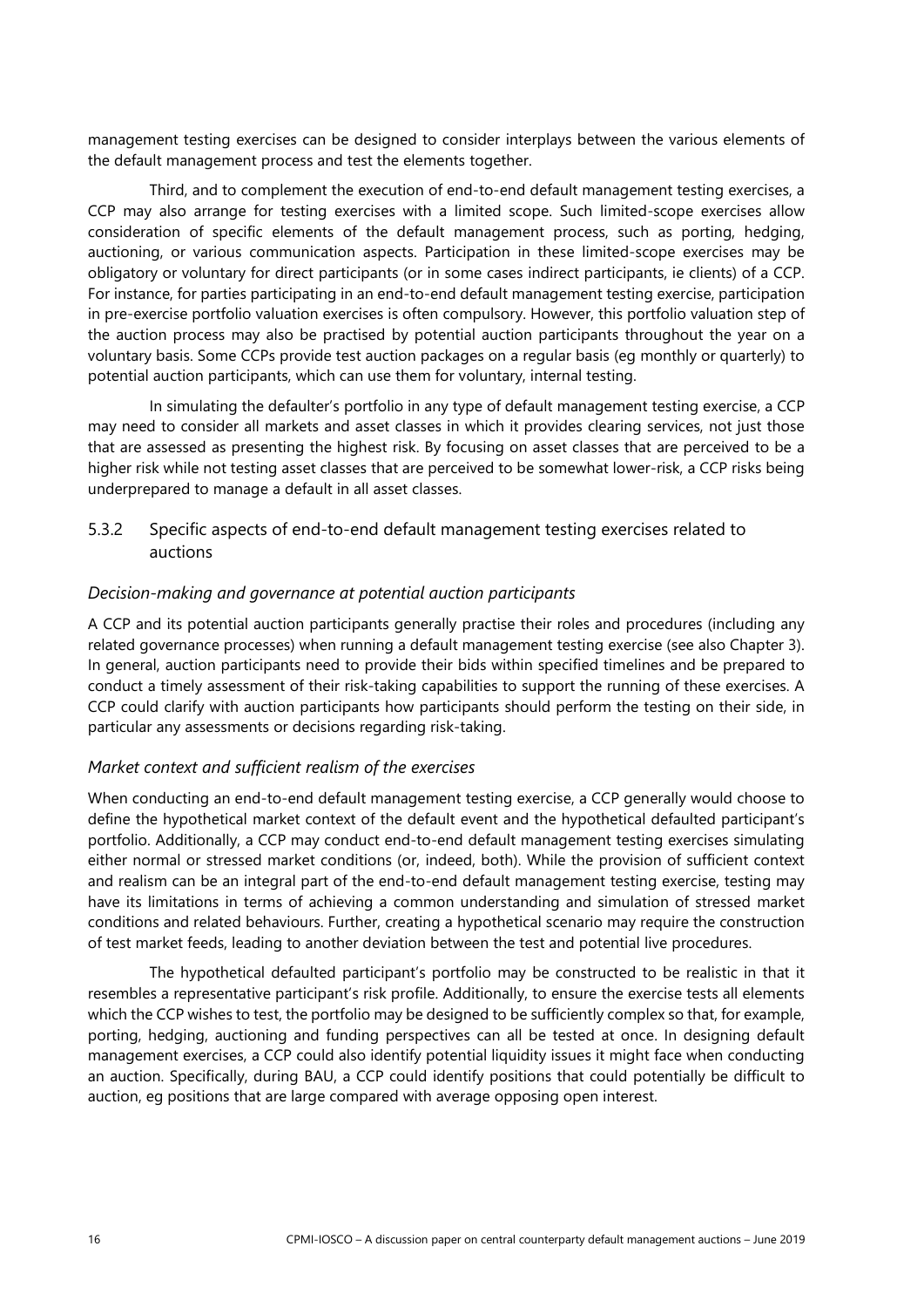management testing exercises can be designed to consider interplays between the various elements of the default management process and test the elements together.

Third, and to complement the execution of end-to-end default management testing exercises, a CCP may also arrange for testing exercises with a limited scope. Such limited-scope exercises allow consideration of specific elements of the default management process, such as porting, hedging, auctioning, or various communication aspects. Participation in these limited-scope exercises may be obligatory or voluntary for direct participants (or in some cases indirect participants, ie clients) of a CCP. For instance, for parties participating in an end-to-end default management testing exercise, participation in pre-exercise portfolio valuation exercises is often compulsory. However, this portfolio valuation step of the auction process may also be practised by potential auction participants throughout the year on a voluntary basis. Some CCPs provide test auction packages on a regular basis (eg monthly or quarterly) to potential auction participants, which can use them for voluntary, internal testing.

In simulating the defaulter's portfolio in any type of default management testing exercise, a CCP may need to consider all markets and asset classes in which it provides clearing services, not just those that are assessed as presenting the highest risk. By focusing on asset classes that are perceived to be a higher risk while not testing asset classes that are perceived to be somewhat lower-risk, a CCP risks being underprepared to manage a default in all asset classes.

### <span id="page-19-0"></span>5.3.2 Specific aspects of end-to-end default management testing exercises related to auctions

#### *Decision-making and governance at potential auction participants*

A CCP and its potential auction participants generally practise their roles and procedures (including any related governance processes) when running a default management testing exercise (see also Chapter 3). In general, auction participants need to provide their bids within specified timelines and be prepared to conduct a timely assessment of their risk-taking capabilities to support the running of these exercises. A CCP could clarify with auction participants how participants should perform the testing on their side, in particular any assessments or decisions regarding risk-taking.

#### *Market context and sufficient realism of the exercises*

When conducting an end-to-end default management testing exercise, a CCP generally would choose to define the hypothetical market context of the default event and the hypothetical defaulted participant's portfolio. Additionally, a CCP may conduct end-to-end default management testing exercises simulating either normal or stressed market conditions (or, indeed, both). While the provision of sufficient context and realism can be an integral part of the end-to-end default management testing exercise, testing may have its limitations in terms of achieving a common understanding and simulation of stressed market conditions and related behaviours. Further, creating a hypothetical scenario may require the construction of test market feeds, leading to another deviation between the test and potential live procedures.

The hypothetical defaulted participant's portfolio may be constructed to be realistic in that it resembles a representative participant's risk profile. Additionally, to ensure the exercise tests all elements which the CCP wishes to test, the portfolio may be designed to be sufficiently complex so that, for example, porting, hedging, auctioning and funding perspectives can all be tested at once. In designing default management exercises, a CCP could also identify potential liquidity issues it might face when conducting an auction. Specifically, during BAU, a CCP could identify positions that could potentially be difficult to auction, eg positions that are large compared with average opposing open interest.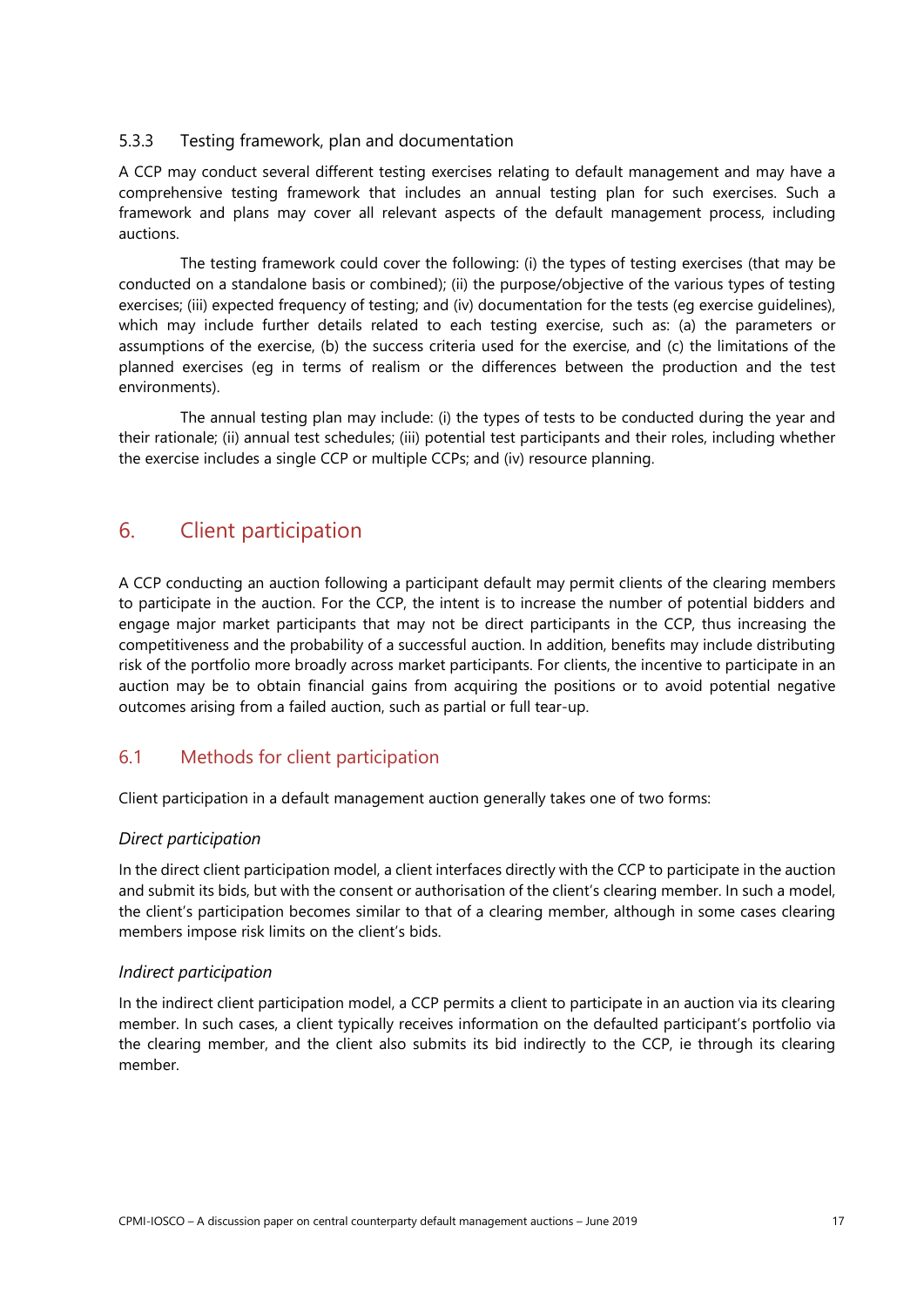#### <span id="page-20-0"></span>5.3.3 Testing framework, plan and documentation

A CCP may conduct several different testing exercises relating to default management and may have a comprehensive testing framework that includes an annual testing plan for such exercises. Such a framework and plans may cover all relevant aspects of the default management process, including auctions.

The testing framework could cover the following: (i) the types of testing exercises (that may be conducted on a standalone basis or combined); (ii) the purpose/objective of the various types of testing exercises; (iii) expected frequency of testing; and (iv) documentation for the tests (eg exercise guidelines), which may include further details related to each testing exercise, such as: (a) the parameters or assumptions of the exercise, (b) the success criteria used for the exercise, and (c) the limitations of the planned exercises (eg in terms of realism or the differences between the production and the test environments).

The annual testing plan may include: (i) the types of tests to be conducted during the year and their rationale; (ii) annual test schedules; (iii) potential test participants and their roles, including whether the exercise includes a single CCP or multiple CCPs; and (iv) resource planning.

# <span id="page-20-1"></span>6. Client participation

A CCP conducting an auction following a participant default may permit clients of the clearing members to participate in the auction. For the CCP, the intent is to increase the number of potential bidders and engage major market participants that may not be direct participants in the CCP, thus increasing the competitiveness and the probability of a successful auction. In addition, benefits may include distributing risk of the portfolio more broadly across market participants. For clients, the incentive to participate in an auction may be to obtain financial gains from acquiring the positions or to avoid potential negative outcomes arising from a failed auction, such as partial or full tear-up.

# <span id="page-20-2"></span>6.1 Methods for client participation

Client participation in a default management auction generally takes one of two forms:

## *Direct participation*

In the direct client participation model, a client interfaces directly with the CCP to participate in the auction and submit its bids, but with the consent or authorisation of the client's clearing member. In such a model, the client's participation becomes similar to that of a clearing member, although in some cases clearing members impose risk limits on the client's bids.

## *Indirect participation*

In the indirect client participation model, a CCP permits a client to participate in an auction via its clearing member. In such cases, a client typically receives information on the defaulted participant's portfolio via the clearing member, and the client also submits its bid indirectly to the CCP, ie through its clearing member.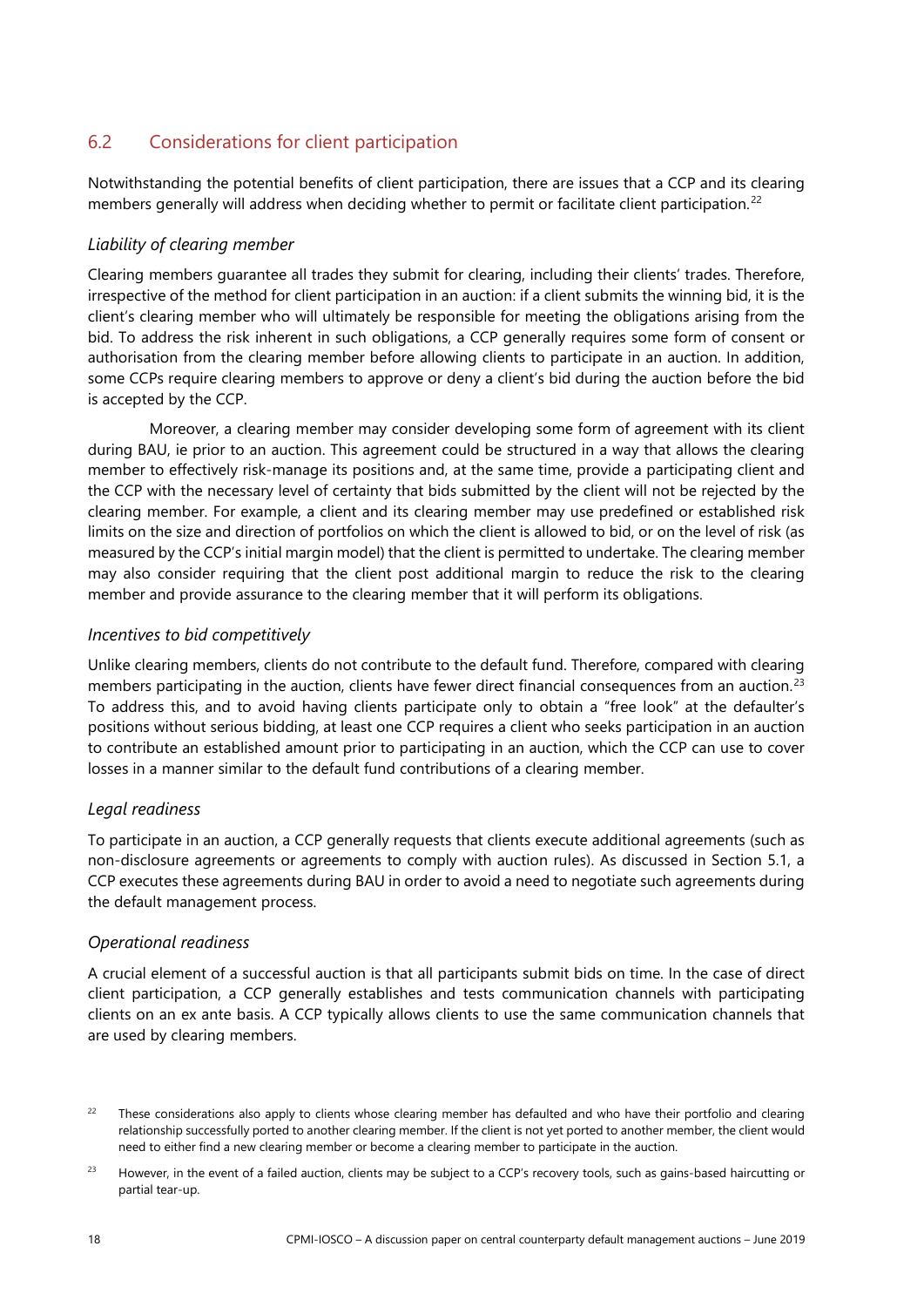# <span id="page-21-0"></span>6.2 Considerations for client participation

Notwithstanding the potential benefits of client participation, there are issues that a CCP and its clearing members generally will address when deciding whether to permit or facilitate client participation.<sup>[22](#page-21-1)</sup>

#### *Liability of clearing member*

Clearing members guarantee all trades they submit for clearing, including their clients' trades. Therefore, irrespective of the method for client participation in an auction: if a client submits the winning bid, it is the client's clearing member who will ultimately be responsible for meeting the obligations arising from the bid. To address the risk inherent in such obligations, a CCP generally requires some form of consent or authorisation from the clearing member before allowing clients to participate in an auction. In addition, some CCPs require clearing members to approve or deny a client's bid during the auction before the bid is accepted by the CCP.

Moreover, a clearing member may consider developing some form of agreement with its client during BAU, ie prior to an auction. This agreement could be structured in a way that allows the clearing member to effectively risk-manage its positions and, at the same time, provide a participating client and the CCP with the necessary level of certainty that bids submitted by the client will not be rejected by the clearing member. For example, a client and its clearing member may use predefined or established risk limits on the size and direction of portfolios on which the client is allowed to bid, or on the level of risk (as measured by the CCP's initial margin model) that the client is permitted to undertake. The clearing member may also consider requiring that the client post additional margin to reduce the risk to the clearing member and provide assurance to the clearing member that it will perform its obligations.

#### *Incentives to bid competitively*

Unlike clearing members, clients do not contribute to the default fund. Therefore, compared with clearing members participating in the auction, clients have fewer direct financial consequences from an auction.<sup>[23](#page-21-2)</sup> To address this, and to avoid having clients participate only to obtain a "free look" at the defaulter's positions without serious bidding, at least one CCP requires a client who seeks participation in an auction to contribute an established amount prior to participating in an auction, which the CCP can use to cover losses in a manner similar to the default fund contributions of a clearing member.

## *Legal readiness*

To participate in an auction, a CCP generally requests that clients execute additional agreements (such as non-disclosure agreements or agreements to comply with auction rules). As discussed in Section 5.1, a CCP executes these agreements during BAU in order to avoid a need to negotiate such agreements during the default management process.

#### *Operational readiness*

A crucial element of a successful auction is that all participants submit bids on time. In the case of direct client participation, a CCP generally establishes and tests communication channels with participating clients on an ex ante basis. A CCP typically allows clients to use the same communication channels that are used by clearing members.

<span id="page-21-1"></span><sup>&</sup>lt;sup>22</sup> These considerations also apply to clients whose clearing member has defaulted and who have their portfolio and clearing relationship successfully ported to another clearing member. If the client is not yet ported to another member, the client would need to either find a new clearing member or become a clearing member to participate in the auction.

<span id="page-21-2"></span><sup>&</sup>lt;sup>23</sup> However, in the event of a failed auction, clients may be subject to a CCP's recovery tools, such as gains-based haircutting or partial tear-up.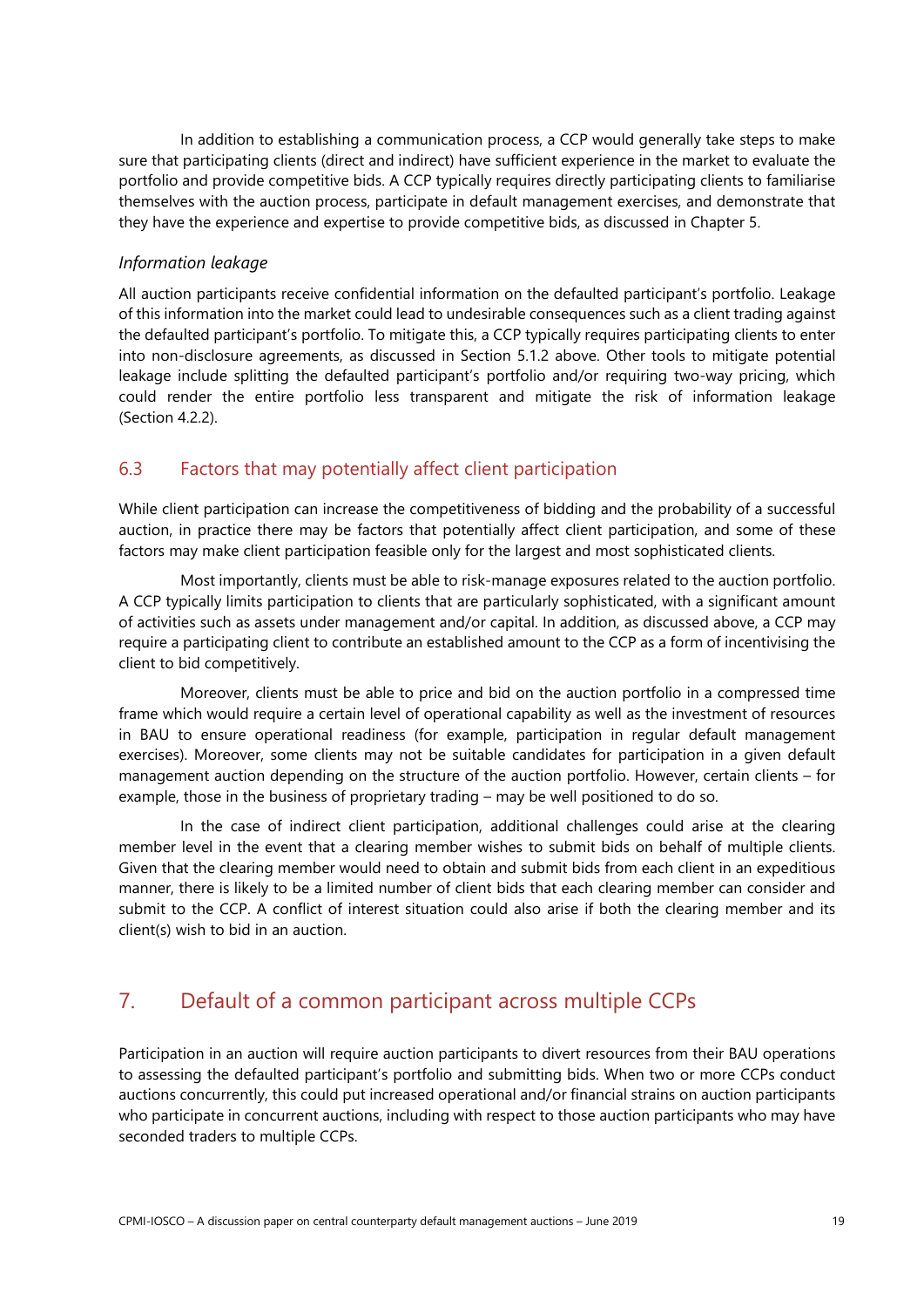In addition to establishing a communication process, a CCP would generally take steps to make sure that participating clients (direct and indirect) have sufficient experience in the market to evaluate the portfolio and provide competitive bids. A CCP typically requires directly participating clients to familiarise themselves with the auction process, participate in default management exercises, and demonstrate that they have the experience and expertise to provide competitive bids, as discussed in Chapter 5.

### *Information leakage*

All auction participants receive confidential information on the defaulted participant's portfolio. Leakage of this information into the market could lead to undesirable consequences such as a client trading against the defaulted participant's portfolio. To mitigate this, a CCP typically requires participating clients to enter into non-disclosure agreements, as discussed in Section 5.1.2 above. Other tools to mitigate potential leakage include splitting the defaulted participant's portfolio and/or requiring two-way pricing, which could render the entire portfolio less transparent and mitigate the risk of information leakage (Section 4.2.2).

# <span id="page-22-0"></span>6.3 Factors that may potentially affect client participation

While client participation can increase the competitiveness of bidding and the probability of a successful auction, in practice there may be factors that potentially affect client participation, and some of these factors may make client participation feasible only for the largest and most sophisticated clients.

Most importantly, clients must be able to risk-manage exposures related to the auction portfolio. A CCP typically limits participation to clients that are particularly sophisticated, with a significant amount of activities such as assets under management and/or capital. In addition, as discussed above, a CCP may require a participating client to contribute an established amount to the CCP as a form of incentivising the client to bid competitively.

Moreover, clients must be able to price and bid on the auction portfolio in a compressed time frame which would require a certain level of operational capability as well as the investment of resources in BAU to ensure operational readiness (for example, participation in regular default management exercises). Moreover, some clients may not be suitable candidates for participation in a given default management auction depending on the structure of the auction portfolio. However, certain clients – for example, those in the business of proprietary trading – may be well positioned to do so.

In the case of indirect client participation, additional challenges could arise at the clearing member level in the event that a clearing member wishes to submit bids on behalf of multiple clients. Given that the clearing member would need to obtain and submit bids from each client in an expeditious manner, there is likely to be a limited number of client bids that each clearing member can consider and submit to the CCP. A conflict of interest situation could also arise if both the clearing member and its client(s) wish to bid in an auction.

# <span id="page-22-1"></span>7. Default of a common participant across multiple CCPs

Participation in an auction will require auction participants to divert resources from their BAU operations to assessing the defaulted participant's portfolio and submitting bids. When two or more CCPs conduct auctions concurrently, this could put increased operational and/or financial strains on auction participants who participate in concurrent auctions, including with respect to those auction participants who may have seconded traders to multiple CCPs.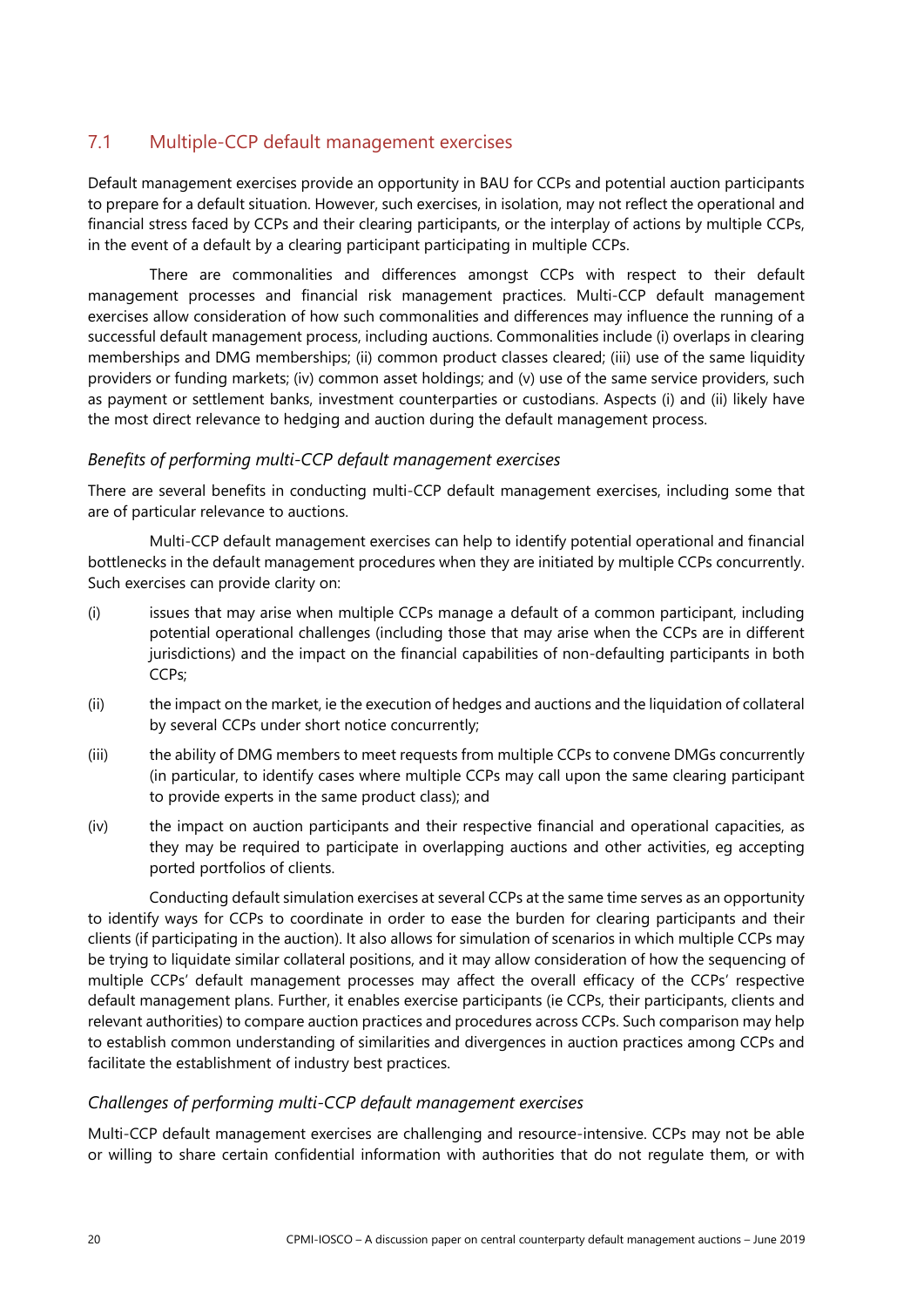# <span id="page-23-0"></span>7.1 Multiple-CCP default management exercises

Default management exercises provide an opportunity in BAU for CCPs and potential auction participants to prepare for a default situation. However, such exercises, in isolation, may not reflect the operational and financial stress faced by CCPs and their clearing participants, or the interplay of actions by multiple CCPs, in the event of a default by a clearing participant participating in multiple CCPs.

There are commonalities and differences amongst CCPs with respect to their default management processes and financial risk management practices. Multi-CCP default management exercises allow consideration of how such commonalities and differences may influence the running of a successful default management process, including auctions. Commonalities include (i) overlaps in clearing memberships and DMG memberships; (ii) common product classes cleared; (iii) use of the same liquidity providers or funding markets; (iv) common asset holdings; and (v) use of the same service providers, such as payment or settlement banks, investment counterparties or custodians. Aspects (i) and (ii) likely have the most direct relevance to hedging and auction during the default management process.

#### *Benefits of performing multi-CCP default management exercises*

There are several benefits in conducting multi-CCP default management exercises, including some that are of particular relevance to auctions.

Multi-CCP default management exercises can help to identify potential operational and financial bottlenecks in the default management procedures when they are initiated by multiple CCPs concurrently. Such exercises can provide clarity on:

- (i) issues that may arise when multiple CCPs manage a default of a common participant, including potential operational challenges (including those that may arise when the CCPs are in different jurisdictions) and the impact on the financial capabilities of non-defaulting participants in both CCPs;
- (ii) the impact on the market, ie the execution of hedges and auctions and the liquidation of collateral by several CCPs under short notice concurrently;
- (iii) the ability of DMG members to meet requests from multiple CCPs to convene DMGs concurrently (in particular, to identify cases where multiple CCPs may call upon the same clearing participant to provide experts in the same product class); and
- (iv) the impact on auction participants and their respective financial and operational capacities, as they may be required to participate in overlapping auctions and other activities, eg accepting ported portfolios of clients.

Conducting default simulation exercises at several CCPs at the same time serves as an opportunity to identify ways for CCPs to coordinate in order to ease the burden for clearing participants and their clients (if participating in the auction). It also allows for simulation of scenarios in which multiple CCPs may be trying to liquidate similar collateral positions, and it may allow consideration of how the sequencing of multiple CCPs' default management processes may affect the overall efficacy of the CCPs' respective default management plans. Further, it enables exercise participants (ie CCPs, their participants, clients and relevant authorities) to compare auction practices and procedures across CCPs. Such comparison may help to establish common understanding of similarities and divergences in auction practices among CCPs and facilitate the establishment of industry best practices.

## *Challenges of performing multi-CCP default management exercises*

Multi-CCP default management exercises are challenging and resource-intensive. CCPs may not be able or willing to share certain confidential information with authorities that do not regulate them, or with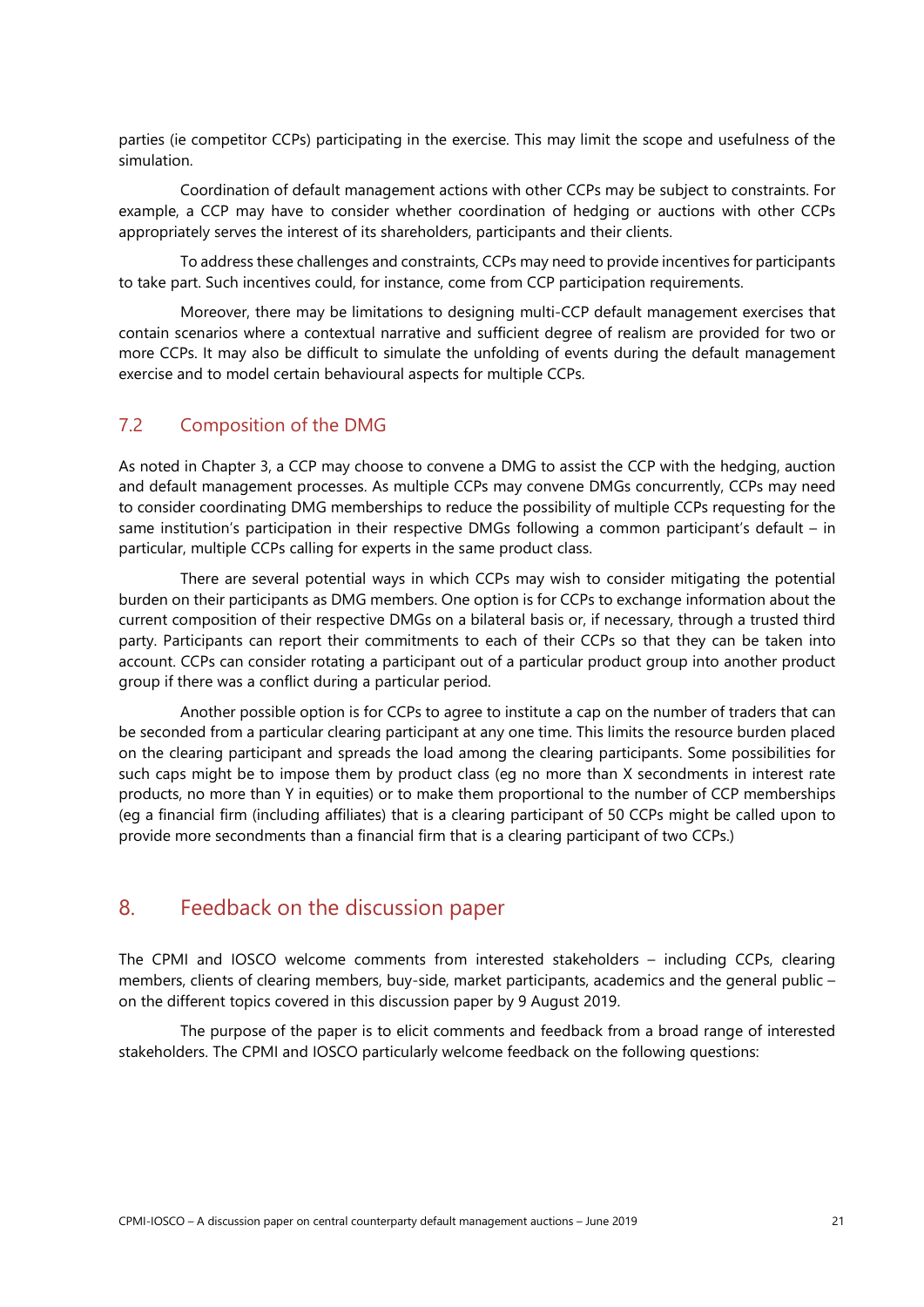parties (ie competitor CCPs) participating in the exercise. This may limit the scope and usefulness of the simulation.

Coordination of default management actions with other CCPs may be subject to constraints. For example, a CCP may have to consider whether coordination of hedging or auctions with other CCPs appropriately serves the interest of its shareholders, participants and their clients.

To address these challenges and constraints, CCPs may need to provide incentives for participants to take part. Such incentives could, for instance, come from CCP participation requirements.

Moreover, there may be limitations to designing multi-CCP default management exercises that contain scenarios where a contextual narrative and sufficient degree of realism are provided for two or more CCPs. It may also be difficult to simulate the unfolding of events during the default management exercise and to model certain behavioural aspects for multiple CCPs.

# <span id="page-24-0"></span>7.2 Composition of the DMG

As noted in Chapter 3, a CCP may choose to convene a DMG to assist the CCP with the hedging, auction and default management processes. As multiple CCPs may convene DMGs concurrently, CCPs may need to consider coordinating DMG memberships to reduce the possibility of multiple CCPs requesting for the same institution's participation in their respective DMGs following a common participant's default – in particular, multiple CCPs calling for experts in the same product class.

There are several potential ways in which CCPs may wish to consider mitigating the potential burden on their participants as DMG members. One option is for CCPs to exchange information about the current composition of their respective DMGs on a bilateral basis or, if necessary, through a trusted third party. Participants can report their commitments to each of their CCPs so that they can be taken into account. CCPs can consider rotating a participant out of a particular product group into another product group if there was a conflict during a particular period.

Another possible option is for CCPs to agree to institute a cap on the number of traders that can be seconded from a particular clearing participant at any one time. This limits the resource burden placed on the clearing participant and spreads the load among the clearing participants. Some possibilities for such caps might be to impose them by product class (eg no more than X secondments in interest rate products, no more than Y in equities) or to make them proportional to the number of CCP memberships (eg a financial firm (including affiliates) that is a clearing participant of 50 CCPs might be called upon to provide more secondments than a financial firm that is a clearing participant of two CCPs.)

# <span id="page-24-1"></span>8. Feedback on the discussion paper

The CPMI and IOSCO welcome comments from interested stakeholders – including CCPs, clearing members, clients of clearing members, buy-side, market participants, academics and the general public – on the different topics covered in this discussion paper by 9 August 2019.

The purpose of the paper is to elicit comments and feedback from a broad range of interested stakeholders. The CPMI and IOSCO particularly welcome feedback on the following questions: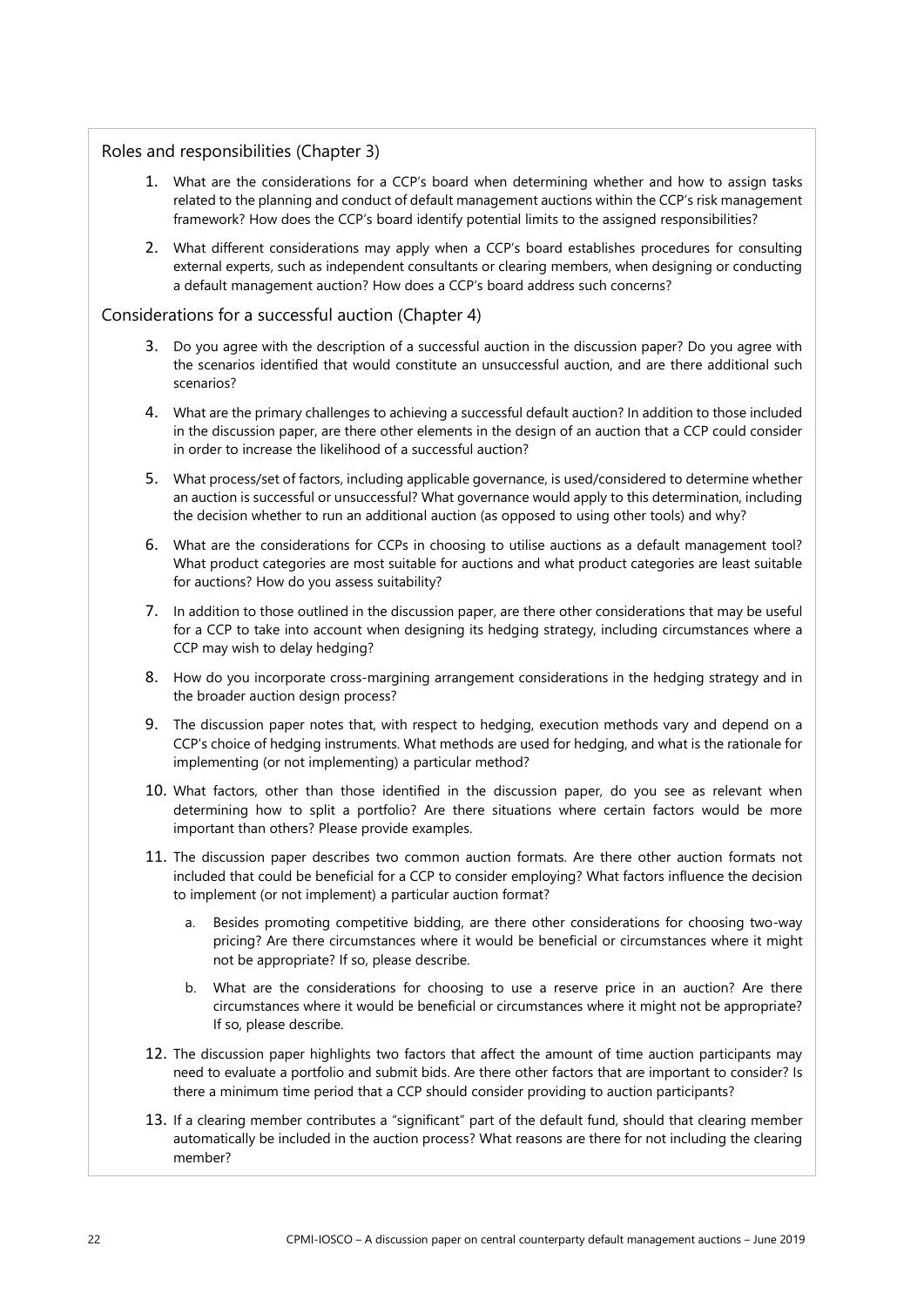#### Roles and responsibilities (Chapter 3)

- 1. What are the considerations for a CCP's board when determining whether and how to assign tasks related to the planning and conduct of default management auctions within the CCP's risk management framework? How does the CCP's board identify potential limits to the assigned responsibilities?
- 2. What different considerations may apply when a CCP's board establishes procedures for consulting external experts, such as independent consultants or clearing members, when designing or conducting a default management auction? How does a CCP's board address such concerns?

#### Considerations for a successful auction (Chapter 4)

- 3. Do you agree with the description of a successful auction in the discussion paper? Do you agree with the scenarios identified that would constitute an unsuccessful auction, and are there additional such scenarios?
- 4. What are the primary challenges to achieving a successful default auction? In addition to those included in the discussion paper, are there other elements in the design of an auction that a CCP could consider in order to increase the likelihood of a successful auction?
- 5. What process/set of factors, including applicable governance, is used/considered to determine whether an auction is successful or unsuccessful? What governance would apply to this determination, including the decision whether to run an additional auction (as opposed to using other tools) and why?
- 6. What are the considerations for CCPs in choosing to utilise auctions as a default management tool? What product categories are most suitable for auctions and what product categories are least suitable for auctions? How do you assess suitability?
- 7. In addition to those outlined in the discussion paper, are there other considerations that may be useful for a CCP to take into account when designing its hedging strategy, including circumstances where a CCP may wish to delay hedging?
- 8. How do you incorporate cross-margining arrangement considerations in the hedging strategy and in the broader auction design process?
- 9. The discussion paper notes that, with respect to hedging, execution methods vary and depend on a CCP's choice of hedging instruments. What methods are used for hedging, and what is the rationale for implementing (or not implementing) a particular method?
- 10. What factors, other than those identified in the discussion paper, do you see as relevant when determining how to split a portfolio? Are there situations where certain factors would be more important than others? Please provide examples.
- 11. The discussion paper describes two common auction formats. Are there other auction formats not included that could be beneficial for a CCP to consider employing? What factors influence the decision to implement (or not implement) a particular auction format?
	- a. Besides promoting competitive bidding, are there other considerations for choosing two-way pricing? Are there circumstances where it would be beneficial or circumstances where it might not be appropriate? If so, please describe.
	- b. What are the considerations for choosing to use a reserve price in an auction? Are there circumstances where it would be beneficial or circumstances where it might not be appropriate? If so, please describe.
- 12. The discussion paper highlights two factors that affect the amount of time auction participants may need to evaluate a portfolio and submit bids. Are there other factors that are important to consider? Is there a minimum time period that a CCP should consider providing to auction participants?
- 13. If a clearing member contributes a "significant" part of the default fund, should that clearing member automatically be included in the auction process? What reasons are there for not including the clearing member?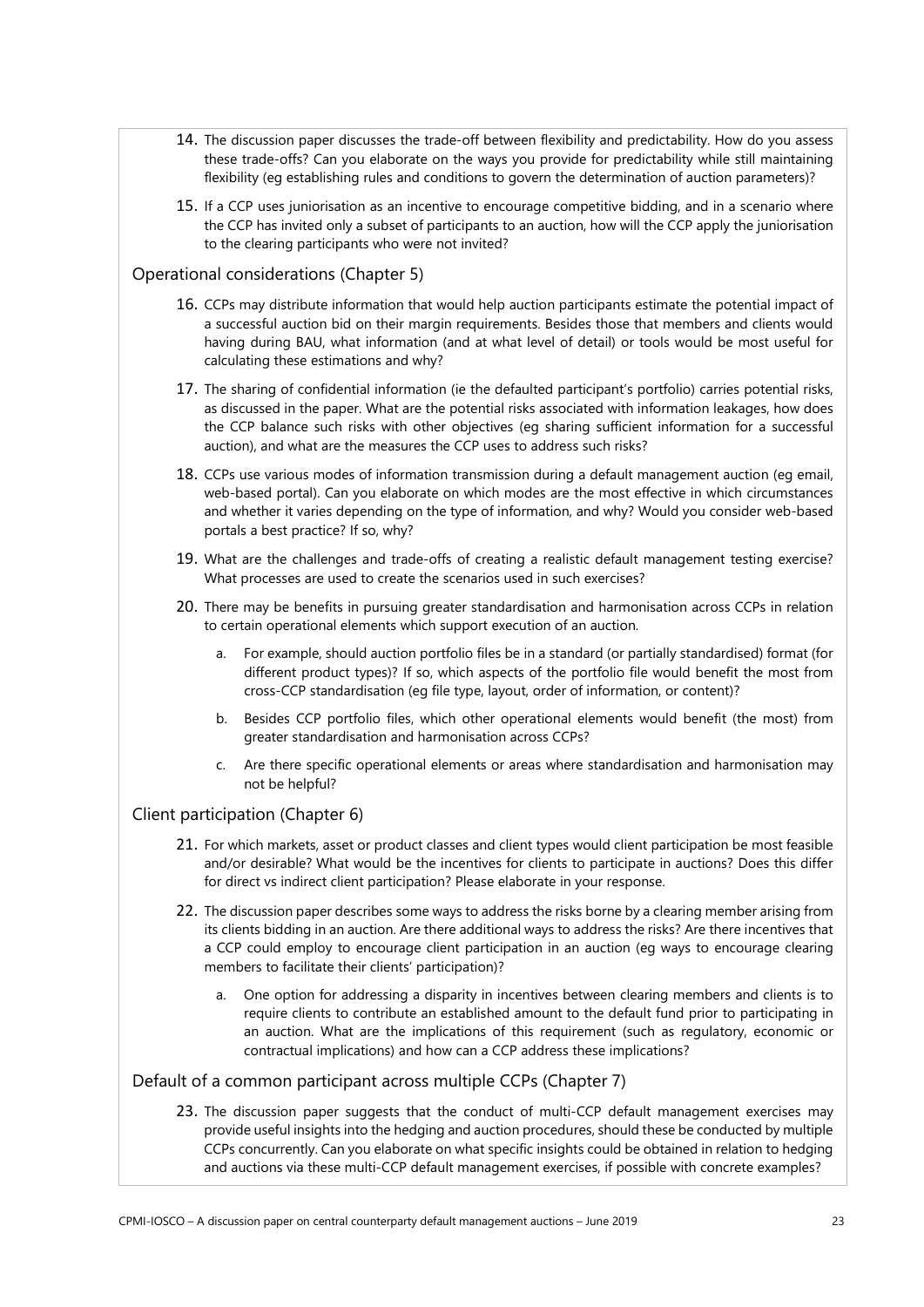- 14. The discussion paper discusses the trade-off between flexibility and predictability. How do you assess these trade-offs? Can you elaborate on the ways you provide for predictability while still maintaining flexibility (eg establishing rules and conditions to govern the determination of auction parameters)?
- 15. If a CCP uses juniorisation as an incentive to encourage competitive bidding, and in a scenario where the CCP has invited only a subset of participants to an auction, how will the CCP apply the juniorisation to the clearing participants who were not invited?

#### Operational considerations (Chapter 5)

- 16. CCPs may distribute information that would help auction participants estimate the potential impact of a successful auction bid on their margin requirements. Besides those that members and clients would having during BAU, what information (and at what level of detail) or tools would be most useful for calculating these estimations and why?
- 17. The sharing of confidential information (ie the defaulted participant's portfolio) carries potential risks, as discussed in the paper. What are the potential risks associated with information leakages, how does the CCP balance such risks with other objectives (eg sharing sufficient information for a successful auction), and what are the measures the CCP uses to address such risks?
- 18. CCPs use various modes of information transmission during a default management auction (eg email, web-based portal). Can you elaborate on which modes are the most effective in which circumstances and whether it varies depending on the type of information, and why? Would you consider web-based portals a best practice? If so, why?
- 19. What are the challenges and trade-offs of creating a realistic default management testing exercise? What processes are used to create the scenarios used in such exercises?
- 20. There may be benefits in pursuing greater standardisation and harmonisation across CCPs in relation to certain operational elements which support execution of an auction.
	- a. For example, should auction portfolio files be in a standard (or partially standardised) format (for different product types)? If so, which aspects of the portfolio file would benefit the most from cross-CCP standardisation (eg file type, layout, order of information, or content)?
	- b. Besides CCP portfolio files, which other operational elements would benefit (the most) from greater standardisation and harmonisation across CCPs?
	- c. Are there specific operational elements or areas where standardisation and harmonisation may not be helpful?

#### Client participation (Chapter 6)

- 21. For which markets, asset or product classes and client types would client participation be most feasible and/or desirable? What would be the incentives for clients to participate in auctions? Does this differ for direct vs indirect client participation? Please elaborate in your response.
- 22. The discussion paper describes some ways to address the risks borne by a clearing member arising from its clients bidding in an auction. Are there additional ways to address the risks? Are there incentives that a CCP could employ to encourage client participation in an auction (eg ways to encourage clearing members to facilitate their clients' participation)?
	- a. One option for addressing a disparity in incentives between clearing members and clients is to require clients to contribute an established amount to the default fund prior to participating in an auction. What are the implications of this requirement (such as regulatory, economic or contractual implications) and how can a CCP address these implications?

#### Default of a common participant across multiple CCPs (Chapter 7)

23. The discussion paper suggests that the conduct of multi-CCP default management exercises may provide useful insights into the hedging and auction procedures, should these be conducted by multiple CCPs concurrently. Can you elaborate on what specific insights could be obtained in relation to hedging and auctions via these multi-CCP default management exercises, if possible with concrete examples?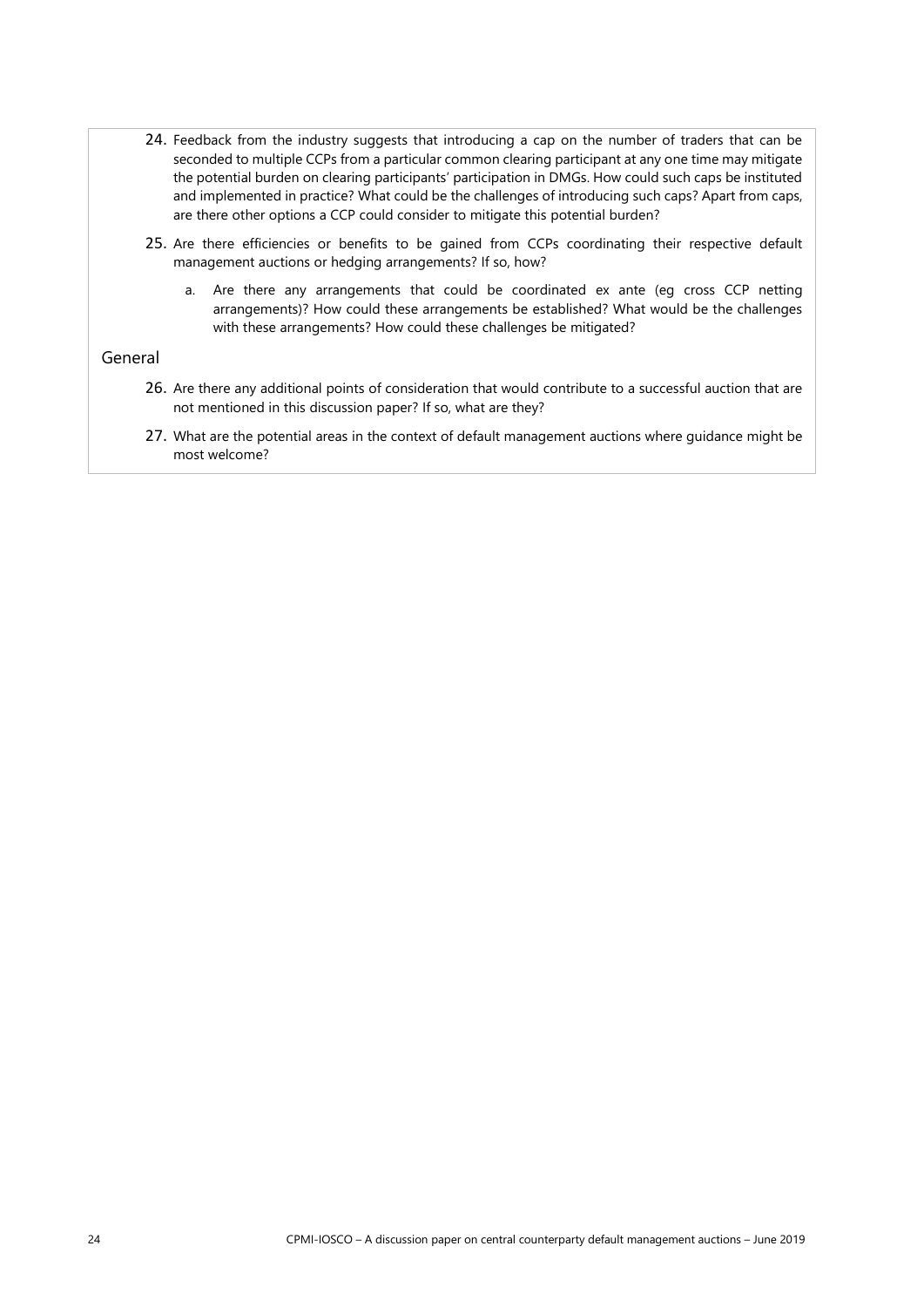- 24. Feedback from the industry suggests that introducing a cap on the number of traders that can be seconded to multiple CCPs from a particular common clearing participant at any one time may mitigate the potential burden on clearing participants' participation in DMGs. How could such caps be instituted and implemented in practice? What could be the challenges of introducing such caps? Apart from caps, are there other options a CCP could consider to mitigate this potential burden?
- 25. Are there efficiencies or benefits to be gained from CCPs coordinating their respective default management auctions or hedging arrangements? If so, how?
	- a. Are there any arrangements that could be coordinated ex ante (eg cross CCP netting arrangements)? How could these arrangements be established? What would be the challenges with these arrangements? How could these challenges be mitigated?

#### General

- 26. Are there any additional points of consideration that would contribute to a successful auction that are not mentioned in this discussion paper? If so, what are they?
- <span id="page-27-0"></span>27. What are the potential areas in the context of default management auctions where guidance might be most welcome?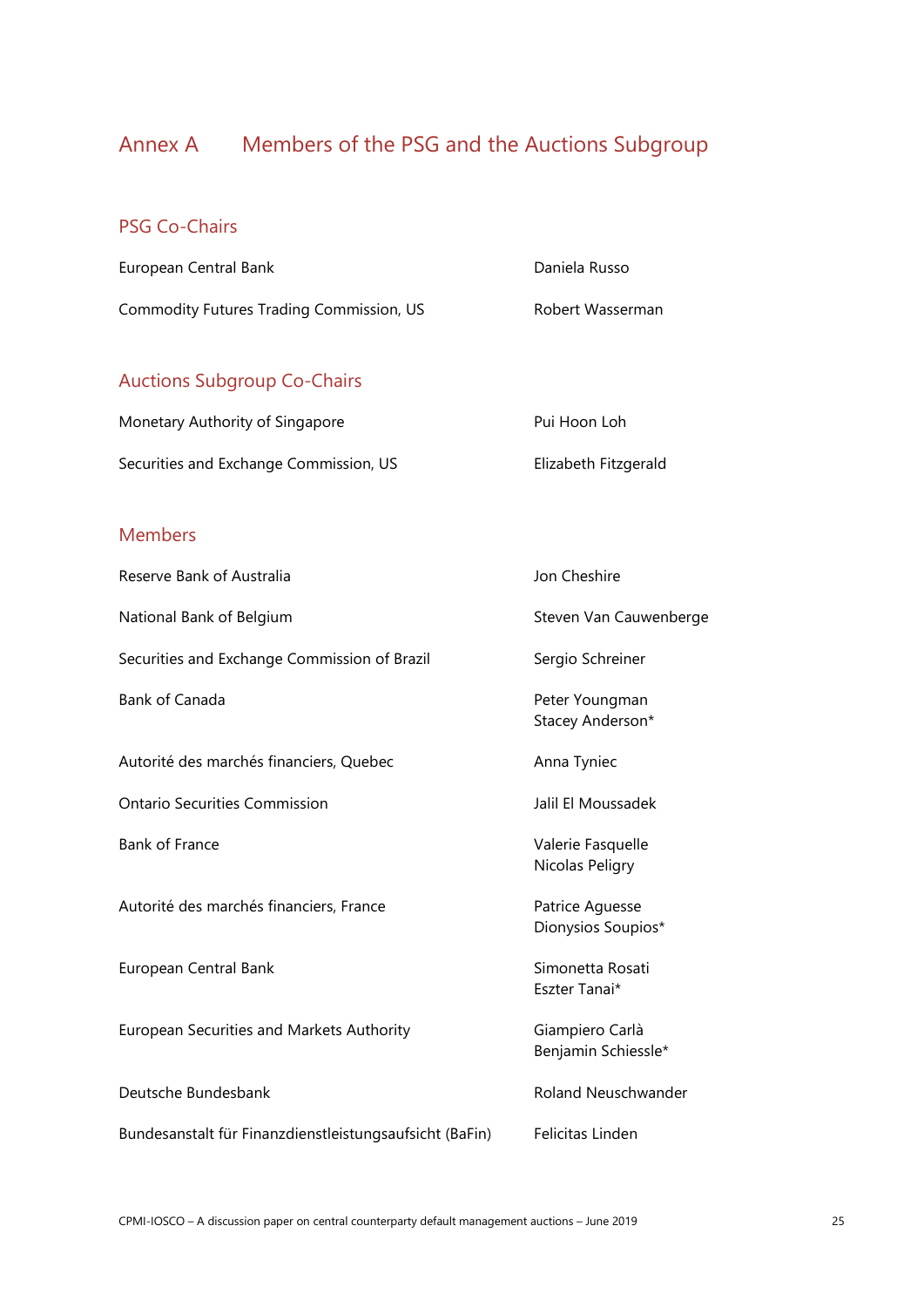# Annex A Members of the PSG and the Auctions Subgroup

# PSG Co-Chairs

| European Central Bank                    | Daniela Russo    |
|------------------------------------------|------------------|
| Commodity Futures Trading Commission, US | Robert Wasserman |

# Auctions Subgroup Co-Chairs

| Monetary Authority of Singapore        | Pui Hoon Loh         |
|----------------------------------------|----------------------|
| Securities and Exchange Commission, US | Elizabeth Fitzgerald |

## Members

| Reserve Bank of Australia                               | Jon Cheshire                           |
|---------------------------------------------------------|----------------------------------------|
| National Bank of Belgium                                | Steven Van Cauwenberge                 |
| Securities and Exchange Commission of Brazil            | Sergio Schreiner                       |
| Bank of Canada                                          | Peter Youngman<br>Stacey Anderson*     |
| Autorité des marchés financiers, Quebec                 | Anna Tyniec                            |
| <b>Ontario Securities Commission</b>                    | Jalil El Moussadek                     |
| <b>Bank of France</b>                                   | Valerie Fasquelle<br>Nicolas Peligry   |
| Autorité des marchés financiers, France                 | Patrice Aguesse<br>Dionysios Soupios*  |
| European Central Bank                                   | Simonetta Rosati<br>Eszter Tanai*      |
| European Securities and Markets Authority               | Giampiero Carlà<br>Benjamin Schiessle* |
| Deutsche Bundesbank                                     | Roland Neuschwander                    |
| Bundesanstalt für Finanzdienstleistungsaufsicht (BaFin) | Felicitas Linden                       |